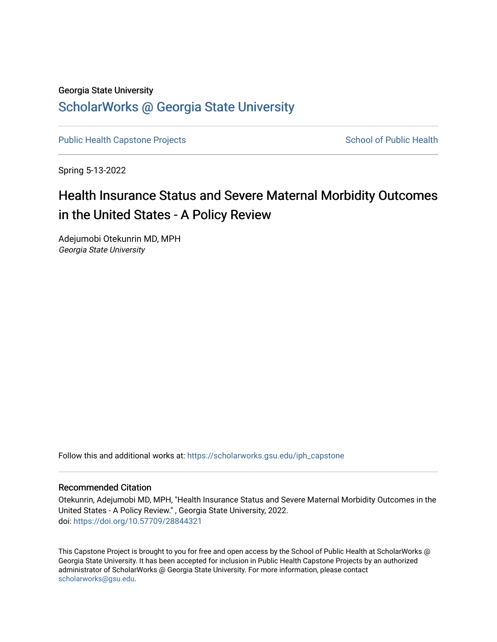## Georgia State University

# [ScholarWorks @ Georgia State University](https://scholarworks.gsu.edu/)

[Public Health Capstone Projects](https://scholarworks.gsu.edu/iph_capstone) **School of Public Health** School of Public Health

Spring 5-13-2022

# Health Insurance Status and Severe Maternal Morbidity Outcomes in the United States - A Policy Review

Adejumobi Otekunrin MD, MPH Georgia State University

Follow this and additional works at: [https://scholarworks.gsu.edu/iph\\_capstone](https://scholarworks.gsu.edu/iph_capstone?utm_source=scholarworks.gsu.edu%2Fiph_capstone%2F142&utm_medium=PDF&utm_campaign=PDFCoverPages)

## Recommended Citation

Otekunrin, Adejumobi MD, MPH, "Health Insurance Status and Severe Maternal Morbidity Outcomes in the United States - A Policy Review." , Georgia State University, 2022. doi: <https://doi.org/10.57709/28844321>

This Capstone Project is brought to you for free and open access by the School of Public Health at ScholarWorks @ Georgia State University. It has been accepted for inclusion in Public Health Capstone Projects by an authorized administrator of ScholarWorks @ Georgia State University. For more information, please contact [scholarworks@gsu.edu.](mailto:scholarworks@gsu.edu)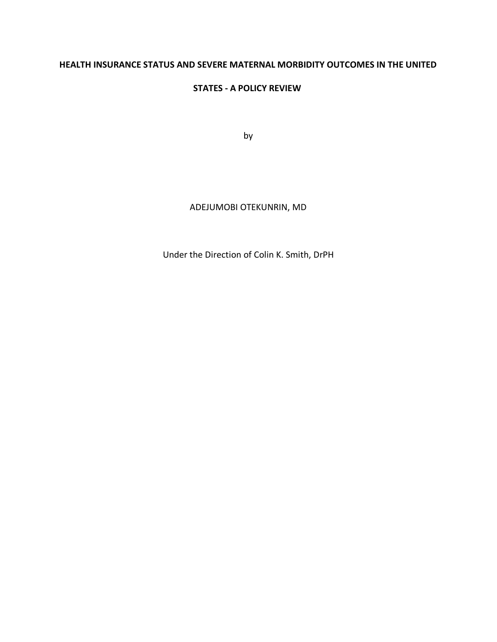# **HEALTH INSURANCE STATUS AND SEVERE MATERNAL MORBIDITY OUTCOMES IN THE UNITED**

## **STATES - A POLICY REVIEW**

by

## ADEJUMOBI OTEKUNRIN, MD

Under the Direction of Colin K. Smith, DrPH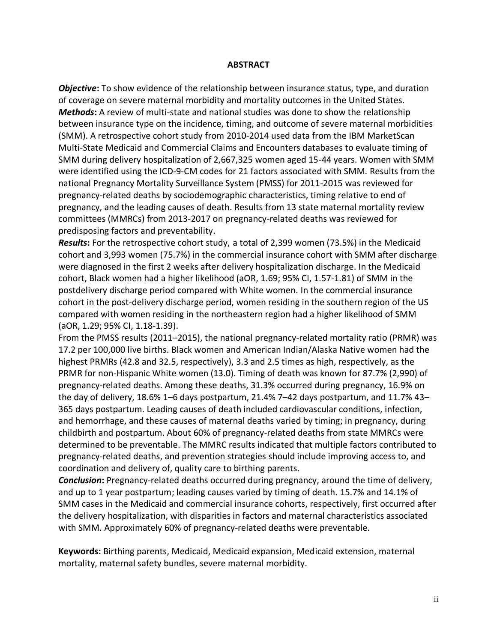## **ABSTRACT**

*Objective***:** To show evidence of the relationship between insurance status, type, and duration of coverage on severe maternal morbidity and mortality outcomes in the United States. *Methods***:** A review of multi-state and national studies was done to show the relationship between insurance type on the incidence, timing, and outcome of severe maternal morbidities (SMM). A retrospective cohort study from 2010-2014 used data from the IBM MarketScan Multi-State Medicaid and Commercial Claims and Encounters databases to evaluate timing of SMM during delivery hospitalization of 2,667,325 women aged 15-44 years. Women with SMM were identified using the ICD-9-CM codes for 21 factors associated with SMM. Results from the national Pregnancy Mortality Surveillance System (PMSS) for 2011-2015 was reviewed for pregnancy-related deaths by sociodemographic characteristics, timing relative to end of pregnancy, and the leading causes of death. Results from 13 state maternal mortality review committees (MMRCs) from 2013-2017 on pregnancy-related deaths was reviewed for predisposing factors and preventability.

*Results***:** For the retrospective cohort study, a total of 2,399 women (73.5%) in the Medicaid cohort and 3,993 women (75.7%) in the commercial insurance cohort with SMM after discharge were diagnosed in the first 2 weeks after delivery hospitalization discharge. In the Medicaid cohort, Black women had a higher likelihood (aOR, 1.69; 95% CI, 1.57-1.81) of SMM in the postdelivery discharge period compared with White women. In the commercial insurance cohort in the post-delivery discharge period, women residing in the southern region of the US compared with women residing in the northeastern region had a higher likelihood of SMM (aOR, 1.29; 95% CI, 1.18-1.39).

From the PMSS results (2011–2015), the national pregnancy-related mortality ratio (PRMR) was 17.2 per 100,000 live births. Black women and American Indian/Alaska Native women had the highest PRMRs (42.8 and 32.5, respectively), 3.3 and 2.5 times as high, respectively, as the PRMR for non-Hispanic White women (13.0). Timing of death was known for 87.7% (2,990) of pregnancy-related deaths. Among these deaths, 31.3% occurred during pregnancy, 16.9% on the day of delivery, 18.6% 1–6 days postpartum, 21.4% 7–42 days postpartum, and 11.7% 43– 365 days postpartum. Leading causes of death included cardiovascular conditions, infection, and hemorrhage, and these causes of maternal deaths varied by timing; in pregnancy, during childbirth and postpartum. About 60% of pregnancy-related deaths from state MMRCs were determined to be preventable. The MMRC results indicated that multiple factors contributed to pregnancy-related deaths, and prevention strategies should include improving access to, and coordination and delivery of, quality care to birthing parents.

*Conclusion***:** Pregnancy-related deaths occurred during pregnancy, around the time of delivery, and up to 1 year postpartum; leading causes varied by timing of death. 15.7% and 14.1% of SMM cases in the Medicaid and commercial insurance cohorts, respectively, first occurred after the delivery hospitalization, with disparities in factors and maternal characteristics associated with SMM. Approximately 60% of pregnancy-related deaths were preventable.

**Keywords:** Birthing parents, Medicaid, Medicaid expansion, Medicaid extension, maternal mortality, maternal safety bundles, severe maternal morbidity.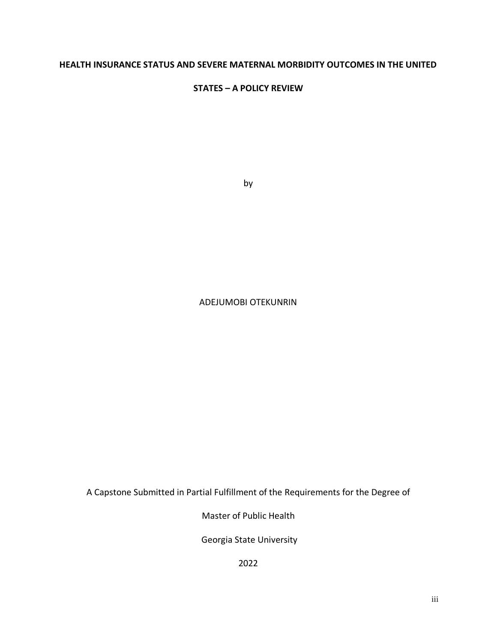## **HEALTH INSURANCE STATUS AND SEVERE MATERNAL MORBIDITY OUTCOMES IN THE UNITED**

## **STATES – A POLICY REVIEW**

by

## ADEJUMOBI OTEKUNRIN

A Capstone Submitted in Partial Fulfillment of the Requirements for the Degree of

Master of Public Health

Georgia State University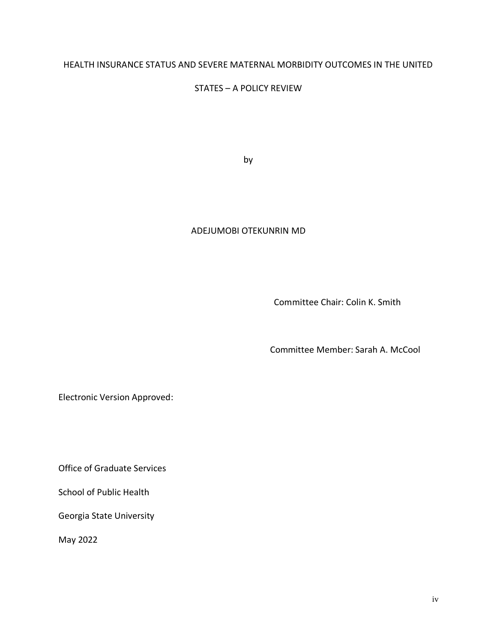## HEALTH INSURANCE STATUS AND SEVERE MATERNAL MORBIDITY OUTCOMES IN THE UNITED

## STATES – A POLICY REVIEW

by

## ADEJUMOBI OTEKUNRIN MD

Committee Chair: Colin K. Smith

Committee Member: Sarah A. McCool

Electronic Version Approved:

Office of Graduate Services

School of Public Health

Georgia State University

May 2022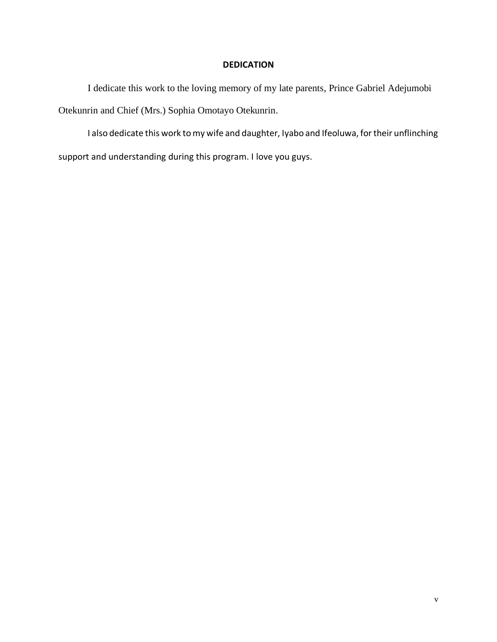## **DEDICATION**

I dedicate this work to the loving memory of my late parents, Prince Gabriel Adejumobi Otekunrin and Chief (Mrs.) Sophia Omotayo Otekunrin.

I also dedicate this work to my wife and daughter, Iyabo and Ifeoluwa, for their unflinching support and understanding during this program. I love you guys.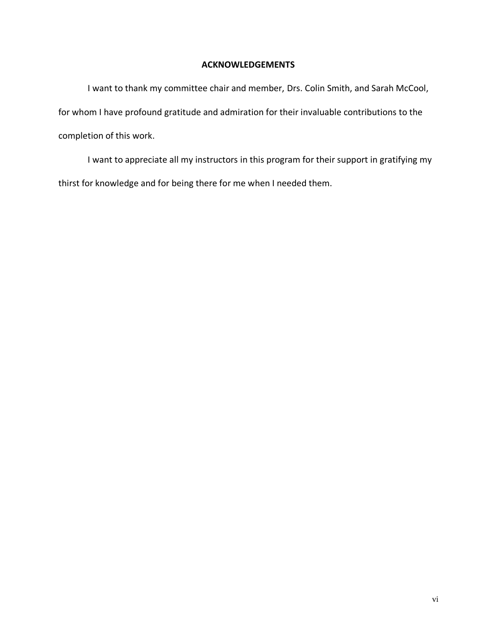## **ACKNOWLEDGEMENTS**

I want to thank my committee chair and member, Drs. Colin Smith, and Sarah McCool, for whom I have profound gratitude and admiration for their invaluable contributions to the completion of this work.

I want to appreciate all my instructors in this program for their support in gratifying my thirst for knowledge and for being there for me when I needed them.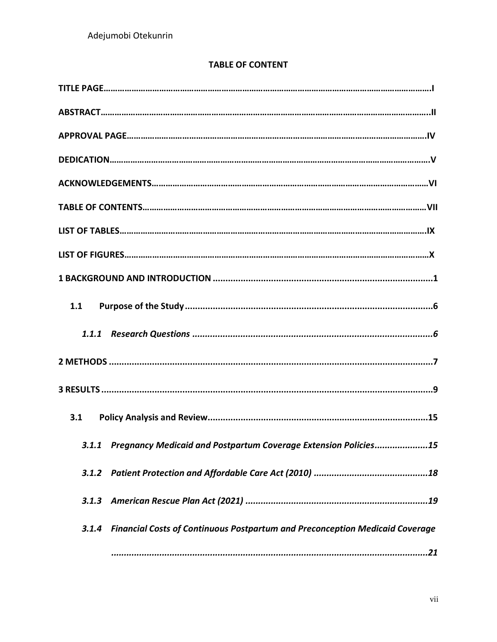# **TABLE OF CONTENT**

| 1.1                                                                                |
|------------------------------------------------------------------------------------|
|                                                                                    |
|                                                                                    |
|                                                                                    |
| 3.1                                                                                |
| 3.1.1 Pregnancy Medicaid and Postpartum Coverage Extension Policies15              |
|                                                                                    |
|                                                                                    |
| 3.1.4 Financial Costs of Continuous Postpartum and Preconception Medicaid Coverage |
|                                                                                    |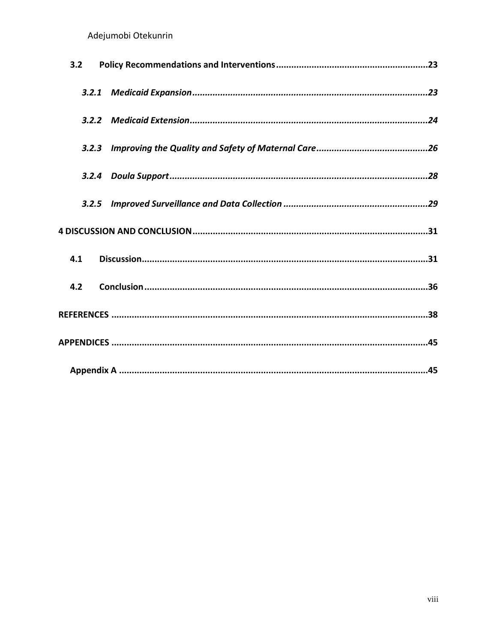| 3.2 |  |
|-----|--|
|     |  |
|     |  |
|     |  |
|     |  |
|     |  |
|     |  |
| 4.1 |  |
| 4.2 |  |
|     |  |
|     |  |
|     |  |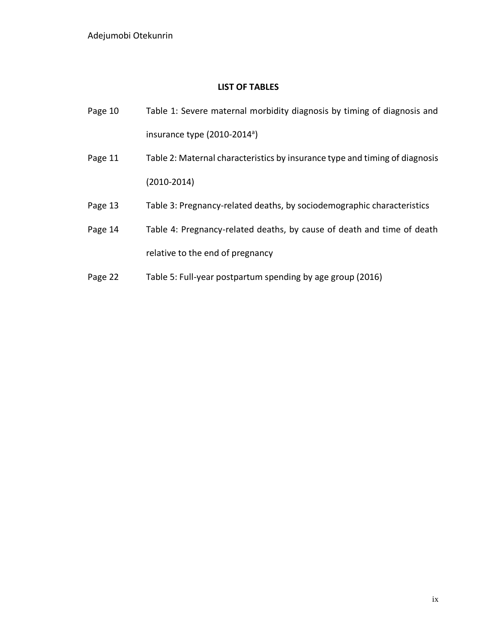## **LIST OF TABLES**

- Page 10 Table 1: Severe maternal morbidity diagnosis by timing of diagnosis and insurance type (2010-2014<sup>a</sup>)
- Page 11 Table 2: Maternal characteristics by insurance type and timing of diagnosis (2010-2014)
- Page 13 Table 3: Pregnancy-related deaths, by sociodemographic characteristics
- Page 14 Table 4: Pregnancy-related deaths, by cause of death and time of death relative to the end of pregnancy
- Page 22 Table 5: Full-year postpartum spending by age group (2016)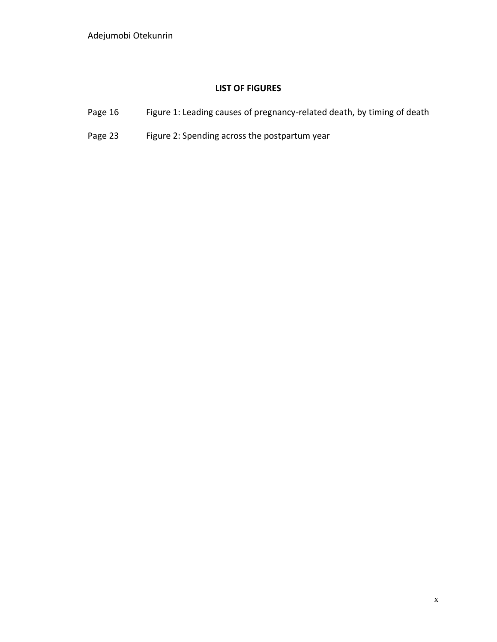# **LIST OF FIGURES**

- Page 16 Figure 1: Leading causes of pregnancy-related death, by timing of death
- Page 23 Figure 2: Spending across the postpartum year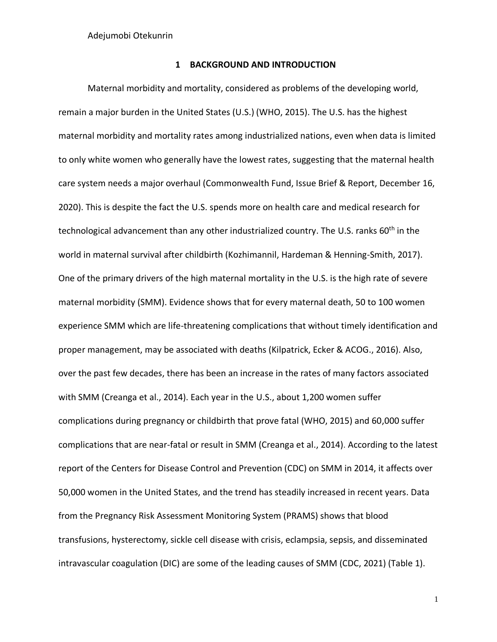## **1 BACKGROUND AND INTRODUCTION**

<span id="page-11-0"></span>Maternal morbidity and mortality, considered as problems of the developing world, remain a major burden in the United States (U.S.) (WHO, 2015). The U.S. has the highest maternal morbidity and mortality rates among industrialized nations, even when data is limited to only white women who generally have the lowest rates, suggesting that the maternal health care system needs a major overhaul (Commonwealth Fund, Issue Brief & Report, December 16, 2020). This is despite the fact the U.S. spends more on health care and medical research for technological advancement than any other industrialized country. The U.S. ranks 60<sup>th</sup> in the world in maternal survival after childbirth (Kozhimannil, Hardeman & Henning-Smith, 2017). One of the primary drivers of the high maternal mortality in the U.S. is the high rate of severe maternal morbidity (SMM). Evidence shows that for every maternal death, 50 to 100 women experience SMM which are life-threatening complications that without timely identification and proper management, may be associated with deaths (Kilpatrick, Ecker & ACOG., 2016). Also, over the past few decades, there has been an increase in the rates of many factors associated with SMM (Creanga et al., 2014). Each year in the U.S., about 1,200 women suffer complications during pregnancy or childbirth that prove fatal (WHO, 2015) and 60,000 suffer complications that are near-fatal or result in SMM (Creanga et al., 2014). According to the latest report of the Centers for Disease Control and Prevention (CDC) on SMM in 2014, it affects over 50,000 women in the United States, and the trend has steadily increased in recent years. Data from the Pregnancy Risk Assessment Monitoring System (PRAMS) shows that blood transfusions, hysterectomy, sickle cell disease with crisis, eclampsia, sepsis, and disseminated intravascular coagulation (DIC) are some of the leading causes of SMM (CDC, 2021) (Table 1).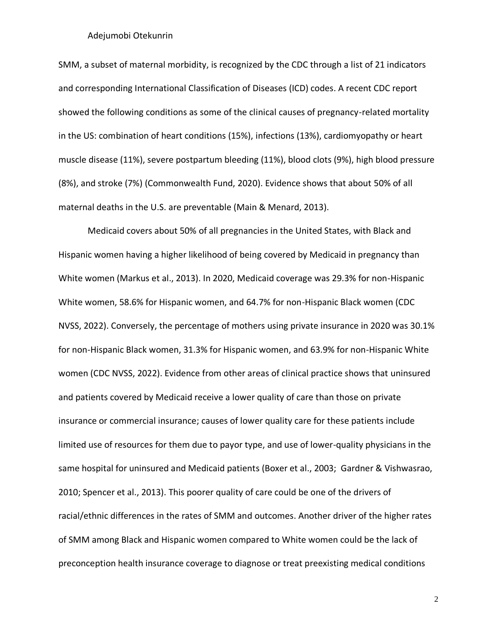SMM, a subset of maternal morbidity, is recognized by the CDC through a list of 21 indicators and corresponding International Classification of Diseases (ICD) codes. A recent CDC report showed the following conditions as some of the clinical causes of pregnancy-related mortality in the US: combination of heart conditions (15%), infections (13%), cardiomyopathy or heart muscle disease (11%), severe postpartum bleeding (11%), blood clots (9%), high blood pressure (8%), and stroke (7%) (Commonwealth Fund, 2020). Evidence shows that about 50% of all maternal deaths in the U.S. are preventable (Main & Menard, 2013).

Medicaid covers about 50% of all pregnancies in the United States, with Black and Hispanic women having a higher likelihood of being covered by Medicaid in pregnancy than White women (Markus et al., 2013). In 2020, Medicaid coverage was 29.3% for non-Hispanic White women, 58.6% for Hispanic women, and 64.7% for non-Hispanic Black women (CDC NVSS, 2022). Conversely, the percentage of mothers using private insurance in 2020 was 30.1% for non-Hispanic Black women, 31.3% for Hispanic women, and 63.9% for non-Hispanic White women (CDC NVSS, 2022). Evidence from other areas of clinical practice shows that uninsured and patients covered by Medicaid receive a lower quality of care than those on private insurance or commercial insurance; causes of lower quality care for these patients include limited use of resources for them due to payor type, and use of lower-quality physicians in the same hospital for uninsured and Medicaid patients (Boxer et al., 2003; Gardner & Vishwasrao, 2010; Spencer et al., 2013). This poorer quality of care could be one of the drivers of racial/ethnic differences in the rates of SMM and outcomes. Another driver of the higher rates of SMM among Black and Hispanic women compared to White women could be the lack of preconception health insurance coverage to diagnose or treat preexisting medical conditions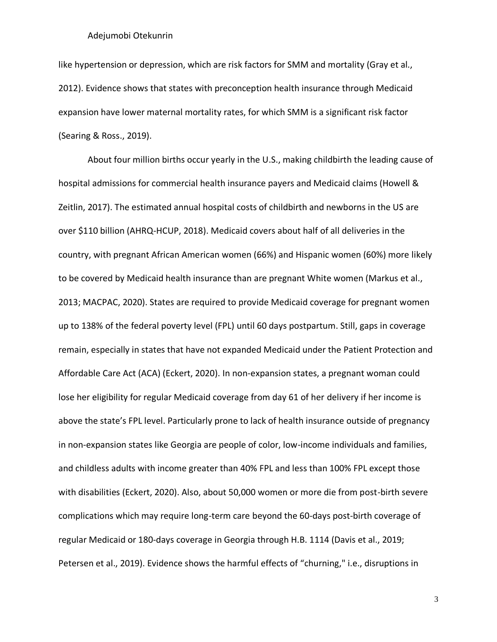like hypertension or depression, which are risk factors for SMM and mortality (Gray et al., 2012). Evidence shows that states with preconception health insurance through Medicaid expansion have lower maternal mortality rates, for which SMM is a significant risk factor (Searing & Ross., 2019).

About four million births occur yearly in the U.S., making childbirth the leading cause of hospital admissions for commercial health insurance payers and Medicaid claims (Howell & Zeitlin, 2017). The estimated annual hospital costs of childbirth and newborns in the US are over \$110 billion (AHRQ-HCUP, 2018). Medicaid covers about half of all deliveries in the country, with pregnant African American women (66%) and Hispanic women (60%) more likely to be covered by Medicaid health insurance than are pregnant White women (Markus et al., 2013; MACPAC, 2020). States are required to provide Medicaid coverage for pregnant women up to 138% of the federal poverty level (FPL) until 60 days postpartum. Still, gaps in coverage remain, especially in states that have not expanded Medicaid under the Patient Protection and Affordable Care Act (ACA) (Eckert, 2020). In non-expansion states, a pregnant woman could lose her eligibility for regular Medicaid coverage from day 61 of her delivery if her income is above the state's FPL level. Particularly prone to lack of health insurance outside of pregnancy in non-expansion states like Georgia are people of color, low-income individuals and families, and childless adults with income greater than 40% FPL and less than 100% FPL except those with disabilities (Eckert, 2020). Also, about 50,000 women or more die from post-birth severe complications which may require long-term care beyond the 60-days post-birth coverage of regular Medicaid or 180-days coverage in Georgia through H.B. 1114 (Davis et al., 2019; Petersen et al., 2019). Evidence shows the harmful effects of "churning," i.e., disruptions in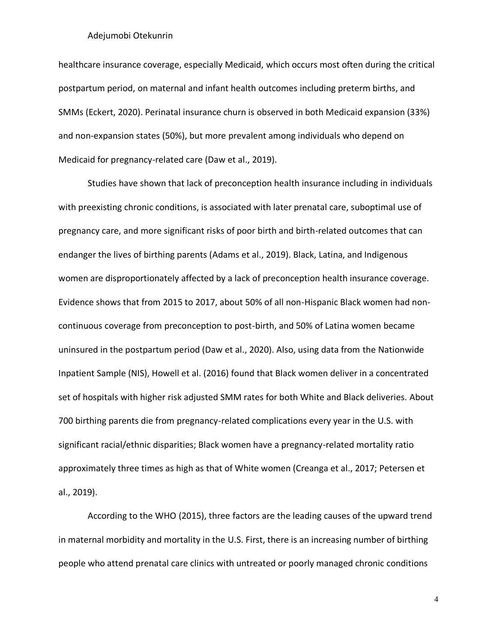healthcare insurance coverage, especially Medicaid, which occurs most often during the critical postpartum period, on maternal and infant health outcomes including preterm births, and SMMs (Eckert, 2020). Perinatal insurance churn is observed in both Medicaid expansion (33%) and non-expansion states (50%), but more prevalent among individuals who depend on Medicaid for pregnancy-related care (Daw et al., 2019).

Studies have shown that lack of preconception health insurance including in individuals with preexisting chronic conditions, is associated with later prenatal care, suboptimal use of pregnancy care, and more significant risks of poor birth and birth-related outcomes that can endanger the lives of birthing parents (Adams et al., 2019). Black, Latina, and Indigenous women are disproportionately affected by a lack of preconception health insurance coverage. Evidence shows that from 2015 to 2017, about 50% of all non-Hispanic Black women had noncontinuous coverage from preconception to post-birth, and 50% of Latina women became uninsured in the postpartum period (Daw et al., 2020). Also, using data from the Nationwide Inpatient Sample (NIS), Howell et al. (2016) found that Black women deliver in a concentrated set of hospitals with higher risk adjusted SMM rates for both White and Black deliveries. About 700 birthing parents die from pregnancy-related complications every year in the U.S. with significant racial/ethnic disparities; Black women have a pregnancy-related mortality ratio approximately three times as high as that of White women (Creanga et al., 2017; Petersen et al., 2019).

According to the WHO (2015), three factors are the leading causes of the upward trend in maternal morbidity and mortality in the U.S. First, there is an increasing number of birthing people who attend prenatal care clinics with untreated or poorly managed chronic conditions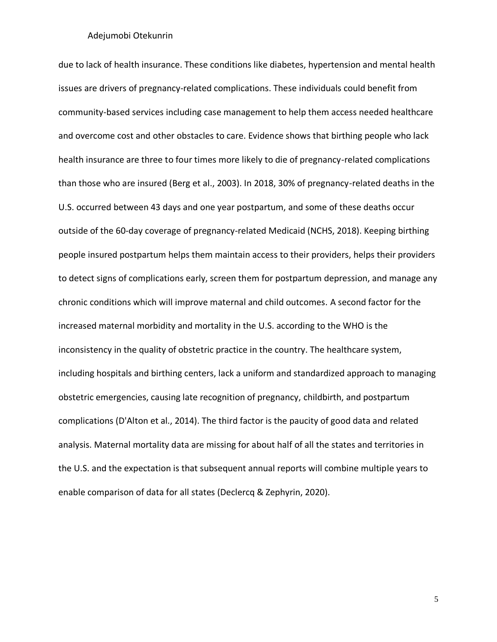due to lack of health insurance. These conditions like diabetes, hypertension and mental health issues are drivers of pregnancy-related complications. These individuals could benefit from community-based services including case management to help them access needed healthcare and overcome cost and other obstacles to care. Evidence shows that birthing people who lack health insurance are three to four times more likely to die of pregnancy-related complications than those who are insured (Berg et al., 2003). In 2018, 30% of pregnancy-related deaths in the U.S. occurred between 43 days and one year postpartum, and some of these deaths occur outside of the 60-day coverage of pregnancy-related Medicaid (NCHS, 2018). Keeping birthing people insured postpartum helps them maintain access to their providers, helps their providers to detect signs of complications early, screen them for postpartum depression, and manage any chronic conditions which will improve maternal and child outcomes. A second factor for the increased maternal morbidity and mortality in the U.S. according to the WHO is the inconsistency in the quality of obstetric practice in the country. The healthcare system, including hospitals and birthing centers, lack a uniform and standardized approach to managing obstetric emergencies, causing late recognition of pregnancy, childbirth, and postpartum complications (D'Alton et al., 2014). The third factor is the paucity of good data and related analysis. Maternal mortality data are missing for about half of all the states and territories in the U.S. and the expectation is that subsequent annual reports will combine multiple years to enable comparison of data for all states (Declercq & Zephyrin, 2020).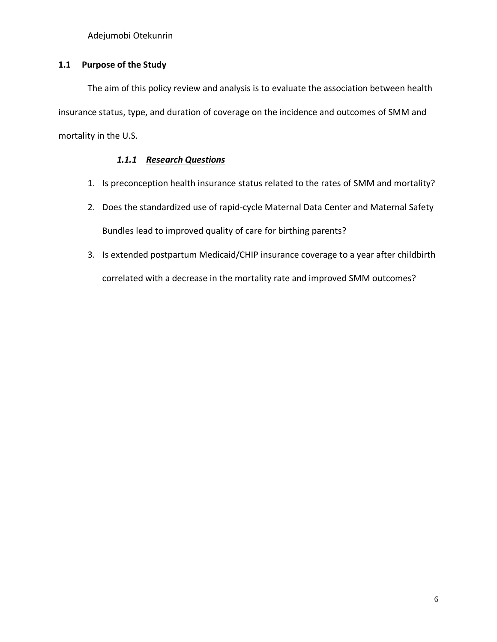## <span id="page-16-0"></span>**1.1 Purpose of the Study**

The aim of this policy review and analysis is to evaluate the association between health insurance status, type, and duration of coverage on the incidence and outcomes of SMM and mortality in the U.S.

# *1.1.1 Research Questions*

- <span id="page-16-1"></span>1. Is preconception health insurance status related to the rates of SMM and mortality?
- 2. Does the standardized use of rapid-cycle Maternal Data Center and Maternal Safety Bundles lead to improved quality of care for birthing parents?
- 3. Is extended postpartum Medicaid/CHIP insurance coverage to a year after childbirth correlated with a decrease in the mortality rate and improved SMM outcomes?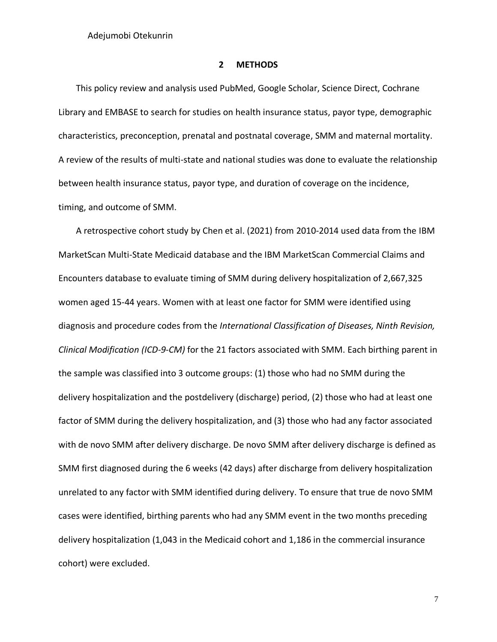#### **2 METHODS**

<span id="page-17-0"></span>This policy review and analysis used PubMed, Google Scholar, Science Direct, Cochrane Library and EMBASE to search for studies on health insurance status, payor type, demographic characteristics, preconception, prenatal and postnatal coverage, SMM and maternal mortality. A review of the results of multi-state and national studies was done to evaluate the relationship between health insurance status, payor type, and duration of coverage on the incidence, timing, and outcome of SMM.

A retrospective cohort study by Chen et al. (2021) from 2010-2014 used data from the IBM MarketScan Multi-State Medicaid database and the IBM MarketScan Commercial Claims and Encounters database to evaluate timing of SMM during delivery hospitalization of 2,667,325 women aged 15-44 years. Women with at least one factor for SMM were identified using diagnosis and procedure codes from the *International Classification of Diseases, Ninth Revision, Clinical Modification (ICD-9-CM)* for the 21 factors associated with SMM. Each birthing parent in the sample was classified into 3 outcome groups: (1) those who had no SMM during the delivery hospitalization and the postdelivery (discharge) period, (2) those who had at least one factor of SMM during the delivery hospitalization, and (3) those who had any factor associated with de novo SMM after delivery discharge. De novo SMM after delivery discharge is defined as SMM first diagnosed during the 6 weeks (42 days) after discharge from delivery hospitalization unrelated to any factor with SMM identified during delivery. To ensure that true de novo SMM cases were identified, birthing parents who had any SMM event in the two months preceding delivery hospitalization (1,043 in the Medicaid cohort and 1,186 in the commercial insurance cohort) were excluded.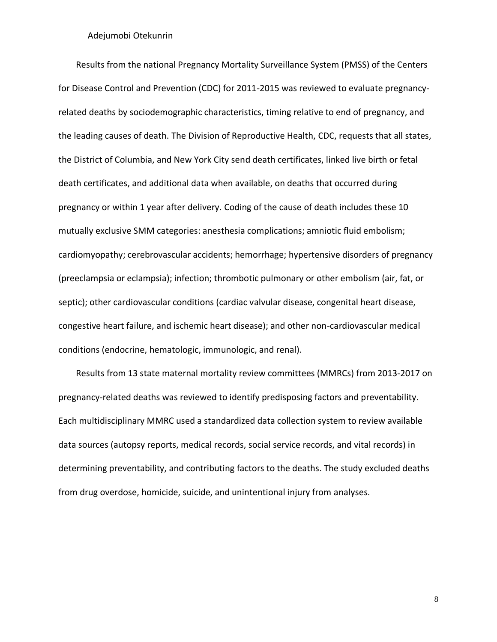Results from the national Pregnancy Mortality Surveillance System (PMSS) of the Centers for Disease Control and Prevention (CDC) for 2011-2015 was reviewed to evaluate pregnancyrelated deaths by sociodemographic characteristics, timing relative to end of pregnancy, and the leading causes of death. The Division of Reproductive Health, CDC, requests that all states, the District of Columbia, and New York City send death certificates, linked live birth or fetal death certificates, and additional data when available, on deaths that occurred during pregnancy or within 1 year after delivery. Coding of the cause of death includes these 10 mutually exclusive SMM categories: anesthesia complications; amniotic fluid embolism; cardiomyopathy; cerebrovascular accidents; hemorrhage; hypertensive disorders of pregnancy (preeclampsia or eclampsia); infection; thrombotic pulmonary or other embolism (air, fat, or septic); other cardiovascular conditions (cardiac valvular disease, congenital heart disease, congestive heart failure, and ischemic heart disease); and other non-cardiovascular medical conditions (endocrine, hematologic, immunologic, and renal).

Results from 13 state maternal mortality review committees (MMRCs) from 2013-2017 on pregnancy-related deaths was reviewed to identify predisposing factors and preventability. Each multidisciplinary MMRC used a standardized data collection system to review available data sources (autopsy reports, medical records, social service records, and vital records) in determining preventability, and contributing factors to the deaths. The study excluded deaths from drug overdose, homicide, suicide, and unintentional injury from analyses.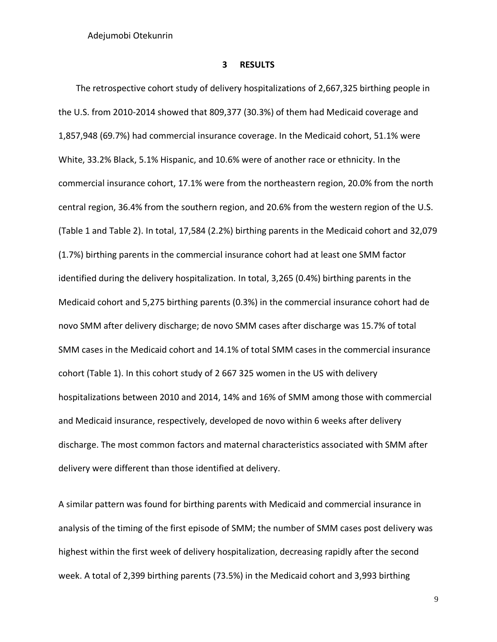#### **3 RESULTS**

<span id="page-19-0"></span>The retrospective cohort study of delivery hospitalizations of 2,667,325 birthing people in the U.S. from 2010-2014 showed that 809,377 (30.3%) of them had Medicaid coverage and 1,857,948 (69.7%) had commercial insurance coverage. In the Medicaid cohort, 51.1% were White, 33.2% Black, 5.1% Hispanic, and 10.6% were of another race or ethnicity. In the commercial insurance cohort, 17.1% were from the northeastern region, 20.0% from the north central region, 36.4% from the southern region, and 20.6% from the western region of the U.S. (Table 1 and Table 2). In total, 17,584 (2.2%) birthing parents in the Medicaid cohort and 32,079 (1.7%) birthing parents in the commercial insurance cohort had at least one SMM factor identified during the delivery hospitalization. In total, 3,265 (0.4%) birthing parents in the Medicaid cohort and 5,275 birthing parents (0.3%) in the commercial insurance cohort had de novo SMM after delivery discharge; de novo SMM cases after discharge was 15.7% of total SMM cases in the Medicaid cohort and 14.1% of total SMM cases in the commercial insurance cohort (Table 1). In this cohort study of 2 667 325 women in the US with delivery hospitalizations between 2010 and 2014, 14% and 16% of SMM among those with commercial and Medicaid insurance, respectively, developed de novo within 6 weeks after delivery discharge. The most common factors and maternal characteristics associated with SMM after delivery were different than those identified at delivery.

A similar pattern was found for birthing parents with Medicaid and commercial insurance in analysis of the timing of the first episode of SMM; the number of SMM cases post delivery was highest within the first week of delivery hospitalization, decreasing rapidly after the second week. A total of 2,399 birthing parents (73.5%) in the Medicaid cohort and 3,993 birthing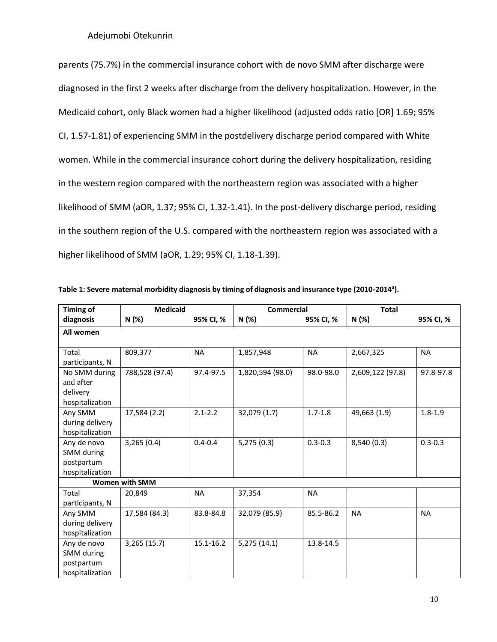parents (75.7%) in the commercial insurance cohort with de novo SMM after discharge were diagnosed in the first 2 weeks after discharge from the delivery hospitalization. However, in the Medicaid cohort, only Black women had a higher likelihood (adjusted odds ratio [OR] 1.69; 95% CI, 1.57-1.81) of experiencing SMM in the postdelivery discharge period compared with White women. While in the commercial insurance cohort during the delivery hospitalization, residing in the western region compared with the northeastern region was associated with a higher likelihood of SMM (aOR, 1.37; 95% CI, 1.32-1.41). In the post-delivery discharge period, residing in the southern region of the U.S. compared with the northeastern region was associated with a higher likelihood of SMM (aOR, 1.29; 95% CI, 1.18-1.39).

| <b>Timing of</b> | <b>Medicaid</b>       |               | Commercial       |             | <b>Total</b>     |             |
|------------------|-----------------------|---------------|------------------|-------------|------------------|-------------|
| diagnosis        | N (%)                 | 95% CI, %     | N (%)            | 95% CI, %   | N (%)            | 95% CI, %   |
| All women        |                       |               |                  |             |                  |             |
|                  |                       |               |                  |             |                  |             |
| Total            | 809,377               | <b>NA</b>     | 1,857,948        | <b>NA</b>   | 2,667,325        | <b>NA</b>   |
| participants, N  |                       |               |                  |             |                  |             |
| No SMM during    | 788,528 (97.4)        | 97.4-97.5     | 1,820,594 (98.0) | 98.0-98.0   | 2,609,122 (97.8) | 97.8-97.8   |
| and after        |                       |               |                  |             |                  |             |
| delivery         |                       |               |                  |             |                  |             |
| hospitalization  |                       |               |                  |             |                  |             |
| Any SMM          | 17,584 (2.2)          | $2.1 - 2.2$   | 32,079 (1.7)     | $1.7 - 1.8$ | 49,663 (1.9)     | $1.8 - 1.9$ |
| during delivery  |                       |               |                  |             |                  |             |
| hospitalization  |                       |               |                  |             |                  |             |
| Any de novo      | 3,265(0.4)            | $0.4 - 0.4$   | 5,275(0.3)       | $0.3 - 0.3$ | 8,540 (0.3)      | $0.3 - 0.3$ |
| SMM during       |                       |               |                  |             |                  |             |
| postpartum       |                       |               |                  |             |                  |             |
| hospitalization  |                       |               |                  |             |                  |             |
|                  | <b>Women with SMM</b> |               |                  |             |                  |             |
| Total            | 20,849                | <b>NA</b>     | 37,354           | <b>NA</b>   |                  |             |
| participants, N  |                       |               |                  |             |                  |             |
| Any SMM          | 17,584 (84.3)         | 83.8-84.8     | 32,079 (85.9)    | 85.5-86.2   | <b>NA</b>        | <b>NA</b>   |
| during delivery  |                       |               |                  |             |                  |             |
| hospitalization  |                       |               |                  |             |                  |             |
| Any de novo      | 3,265 (15.7)          | $15.1 - 16.2$ | 5,275 (14.1)     | 13.8-14.5   |                  |             |
| SMM during       |                       |               |                  |             |                  |             |
| postpartum       |                       |               |                  |             |                  |             |
| hospitalization  |                       |               |                  |             |                  |             |

**Table 1: Severe maternal morbidity diagnosis by timing of diagnosis and insurance type (2010-2014<sup>a</sup> ).**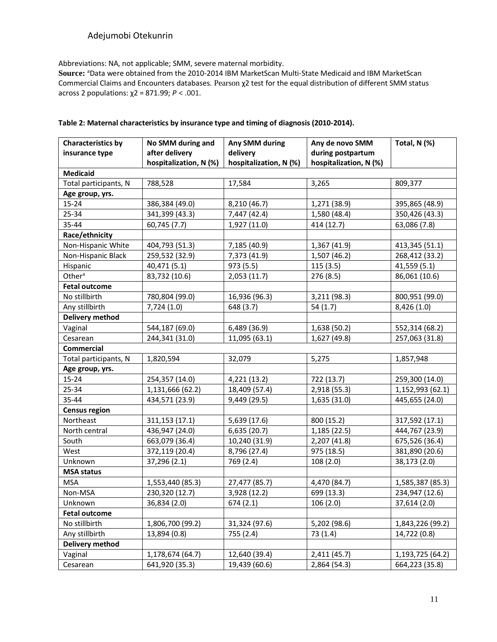Abbreviations: NA, not applicable; SMM, severe maternal morbidity.

Source: <sup>a</sup>Data were obtained from the 2010-2014 IBM MarketScan Multi-State Medicaid and IBM MarketScan Commercial Claims and Encounters databases. Pearson χ2 test for the equal distribution of different SMM status across 2 populations: χ2 = 871.99; *P* < .001.

| <b>Characteristics by</b> | No SMM during and      | Any SMM during         | Any de novo SMM        | Total, N (%)     |
|---------------------------|------------------------|------------------------|------------------------|------------------|
| insurance type            | after delivery         | delivery               | during postpartum      |                  |
|                           | hospitalization, N (%) | hospitalization, N (%) | hospitalization, N (%) |                  |
| <b>Medicaid</b>           |                        |                        |                        |                  |
| Total participants, N     | 788,528                | 17,584                 | 3,265                  | 809,377          |
| Age group, yrs.           |                        |                        |                        |                  |
| $15 - 24$                 | 386,384 (49.0)         | 8,210 (46.7)           | 1,271 (38.9)           | 395,865 (48.9)   |
| 25-34                     | 341,399 (43.3)         | 7,447 (42.4)           | 1,580 (48.4)           | 350,426 (43.3)   |
| 35-44                     | 60,745 (7.7)           | 1,927 (11.0)           | 414 (12.7)             | 63,086 (7.8)     |
| Race/ethnicity            |                        |                        |                        |                  |
| Non-Hispanic White        | 404,793 (51.3)         | 7,185 (40.9)           | 1,367 (41.9)           | 413,345 (51.1)   |
| Non-Hispanic Black        | 259,532 (32.9)         | 7,373 (41.9)           | 1,507 (46.2)           | 268,412 (33.2)   |
| Hispanic                  | 40,471 (5.1)           | 973 (5.5)              | 115(3.5)               | 41,559 (5.1)     |
| Other <sup>a</sup>        | 83,732 (10.6)          | 2,053 (11.7)           | 276 (8.5)              | 86,061 (10.6)    |
| <b>Fetal outcome</b>      |                        |                        |                        |                  |
| No stillbirth             | 780,804 (99.0)         | 16,936 (96.3)          | 3,211 (98.3)           | 800,951 (99.0)   |
| Any stillbirth            | 7,724(1.0)             | 648 (3.7)              | 54(1.7)                | 8,426 (1.0)      |
| Delivery method           |                        |                        |                        |                  |
| Vaginal                   | 544,187 (69.0)         | 6,489 (36.9)           | 1,638 (50.2)           | 552,314 (68.2)   |
| Cesarean                  | 244,341 (31.0)         | 11,095 (63.1)          | 1,627 (49.8)           | 257,063 (31.8)   |
| <b>Commercial</b>         |                        |                        |                        |                  |
| Total participants, N     | 1,820,594              | 32,079                 | 5,275                  | 1,857,948        |
| Age group, yrs.           |                        |                        |                        |                  |
| $15 - 24$                 | 254,357 (14.0)         | 4,221 (13.2)           | 722 (13.7)             | 259,300 (14.0)   |
| 25-34                     | 1,131,666 (62.2)       | 18,409 (57.4)          | 2,918 (55.3)           | 1,152,993 (62.1) |
| 35-44                     | 434,571 (23.9)         | 9,449 (29.5)           | 1,635 (31.0)           | 445,655 (24.0)   |
| <b>Census region</b>      |                        |                        |                        |                  |
| Northeast                 | 311, 153 (17.1)        | 5,639 (17.6)           | 800 (15.2)             | 317,592 (17.1)   |
| North central             | 436,947 (24.0)         | 6,635 (20.7)           | 1,185 (22.5)           | 444,767 (23.9)   |
| South                     | 663,079 (36.4)         | 10,240 (31.9)          | 2,207 (41.8)           | 675,526 (36.4)   |
| West                      | 372,119 (20.4)         | 8,796 (27.4)           | 975 (18.5)             | 381,890 (20.6)   |
| Unknown                   | 37,296 (2.1)           | 769 (2.4)              | 108 (2.0)              | 38,173 (2.0)     |
| <b>MSA status</b>         |                        |                        |                        |                  |
| <b>MSA</b>                | 1,553,440 (85.3)       | 27,477 (85.7)          | 4,470 (84.7)           | 1,585,387 (85.3) |
| Non-MSA                   | 230,320 (12.7)         | 3,928 (12.2)           | 699 (13.3)             | 234,947 (12.6)   |
| Unknown                   | 36,834 (2.0)           | 674 (2.1)              | 106 (2.0)              | 37,614 (2.0)     |
| <b>Fetal outcome</b>      |                        |                        |                        |                  |
| No stillbirth             | 1,806,700 (99.2)       | 31,324 (97.6)          | 5,202 (98.6)           | 1,843,226 (99.2) |
| Any stillbirth            | 13,894 (0.8)           | 755 (2.4)              | 73(1.4)                | 14,722 (0.8)     |
| Delivery method           |                        |                        |                        |                  |
| Vaginal                   | 1,178,674 (64.7)       | 12,640 (39.4)          | 2,411 (45.7)           | 1,193,725 (64.2) |
| Cesarean                  | 641,920 (35.3)         | 19,439 (60.6)          | 2,864 (54.3)           | 664,223 (35.8)   |

#### **Table 2: Maternal characteristics by insurance type and timing of diagnosis (2010-2014).**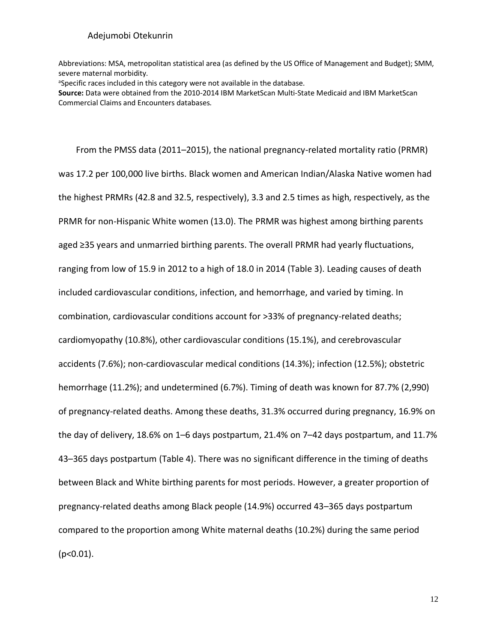Abbreviations: MSA, metropolitan statistical area (as defined by the US Office of Management and Budget); SMM, severe maternal morbidity.

<sup>a</sup>Specific races included in this category were not available in the database.

**Source:** Data were obtained from the 2010-2014 IBM MarketScan Multi-State Medicaid and IBM MarketScan Commercial Claims and Encounters databases.

From the PMSS data (2011–2015), the national pregnancy-related mortality ratio (PRMR) was 17.2 per 100,000 live births. Black women and American Indian/Alaska Native women had the highest PRMRs (42.8 and 32.5, respectively), 3.3 and 2.5 times as high, respectively, as the PRMR for non-Hispanic White women (13.0). The PRMR was highest among birthing parents aged ≥35 years and unmarried birthing parents. The overall PRMR had yearly fluctuations, ranging from low of 15.9 in 2012 to a high of 18.0 in 2014 (Table 3). Leading causes of death included cardiovascular conditions, infection, and hemorrhage, and varied by timing. In combination, cardiovascular conditions account for >33% of pregnancy-related deaths; cardiomyopathy (10.8%), other cardiovascular conditions (15.1%), and cerebrovascular accidents (7.6%); non-cardiovascular medical conditions (14.3%); infection (12.5%); obstetric hemorrhage (11.2%); and undetermined (6.7%). Timing of death was known for 87.7% (2,990) of pregnancy-related deaths. Among these deaths, 31.3% occurred during pregnancy, 16.9% on the day of delivery, 18.6% on 1–6 days postpartum, 21.4% on 7–42 days postpartum, and 11.7% 43–365 days postpartum (Table 4). There was no significant difference in the timing of deaths between Black and White birthing parents for most periods. However, a greater proportion of pregnancy-related deaths among Black people (14.9%) occurred 43–365 days postpartum compared to the proportion among White maternal deaths (10.2%) during the same period  $(p<0.01)$ .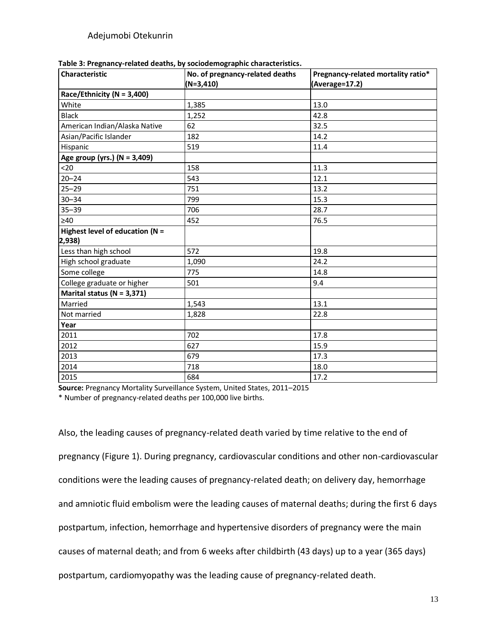| $(N=3,410)$<br>(Average=17.2)<br>White<br>13.0<br>1,385<br>42.8<br><b>Black</b><br>1,252<br>American Indian/Alaska Native<br>32.5<br>62<br>Asian/Pacific Islander<br>14.2<br>182<br>Hispanic<br>519<br>11.4<br>Age group (yrs.) (N = 3,409)<br><20<br>11.3<br>158<br>12.1<br>$20 - 24$<br>543<br>$25 - 29$<br>13.2<br>751<br>$30 - 34$<br>799<br>15.3<br>$35 - 39$<br>706<br>28.7<br>76.5<br>452<br>572<br>19.8<br>24.2<br>1,090<br>14.8<br>775<br>College graduate or higher<br>9.4<br>501<br>Marital status ( $N = 3,371$ )<br>13.1<br>Married<br>1,543<br>Not married<br>22.8<br>1,828<br>Year<br>702<br>17.8<br>2011<br>2012<br>627<br>15.9<br>2013<br>17.3<br>679<br>2014<br>718<br>18.0 | Characteristic                     | No. of pregnancy-related deaths | Pregnancy-related mortality ratio* |
|-----------------------------------------------------------------------------------------------------------------------------------------------------------------------------------------------------------------------------------------------------------------------------------------------------------------------------------------------------------------------------------------------------------------------------------------------------------------------------------------------------------------------------------------------------------------------------------------------------------------------------------------------------------------------------------------------|------------------------------------|---------------------------------|------------------------------------|
|                                                                                                                                                                                                                                                                                                                                                                                                                                                                                                                                                                                                                                                                                               |                                    |                                 |                                    |
|                                                                                                                                                                                                                                                                                                                                                                                                                                                                                                                                                                                                                                                                                               | Race/Ethnicity ( $N = 3,400$ )     |                                 |                                    |
|                                                                                                                                                                                                                                                                                                                                                                                                                                                                                                                                                                                                                                                                                               |                                    |                                 |                                    |
|                                                                                                                                                                                                                                                                                                                                                                                                                                                                                                                                                                                                                                                                                               |                                    |                                 |                                    |
|                                                                                                                                                                                                                                                                                                                                                                                                                                                                                                                                                                                                                                                                                               |                                    |                                 |                                    |
|                                                                                                                                                                                                                                                                                                                                                                                                                                                                                                                                                                                                                                                                                               |                                    |                                 |                                    |
|                                                                                                                                                                                                                                                                                                                                                                                                                                                                                                                                                                                                                                                                                               |                                    |                                 |                                    |
|                                                                                                                                                                                                                                                                                                                                                                                                                                                                                                                                                                                                                                                                                               |                                    |                                 |                                    |
|                                                                                                                                                                                                                                                                                                                                                                                                                                                                                                                                                                                                                                                                                               |                                    |                                 |                                    |
|                                                                                                                                                                                                                                                                                                                                                                                                                                                                                                                                                                                                                                                                                               |                                    |                                 |                                    |
|                                                                                                                                                                                                                                                                                                                                                                                                                                                                                                                                                                                                                                                                                               |                                    |                                 |                                    |
|                                                                                                                                                                                                                                                                                                                                                                                                                                                                                                                                                                                                                                                                                               |                                    |                                 |                                    |
|                                                                                                                                                                                                                                                                                                                                                                                                                                                                                                                                                                                                                                                                                               |                                    |                                 |                                    |
|                                                                                                                                                                                                                                                                                                                                                                                                                                                                                                                                                                                                                                                                                               | $\geq 40$                          |                                 |                                    |
|                                                                                                                                                                                                                                                                                                                                                                                                                                                                                                                                                                                                                                                                                               | Highest level of education ( $N =$ |                                 |                                    |
|                                                                                                                                                                                                                                                                                                                                                                                                                                                                                                                                                                                                                                                                                               | 2,938)                             |                                 |                                    |
|                                                                                                                                                                                                                                                                                                                                                                                                                                                                                                                                                                                                                                                                                               | Less than high school              |                                 |                                    |
|                                                                                                                                                                                                                                                                                                                                                                                                                                                                                                                                                                                                                                                                                               | High school graduate               |                                 |                                    |
|                                                                                                                                                                                                                                                                                                                                                                                                                                                                                                                                                                                                                                                                                               | Some college                       |                                 |                                    |
|                                                                                                                                                                                                                                                                                                                                                                                                                                                                                                                                                                                                                                                                                               |                                    |                                 |                                    |
|                                                                                                                                                                                                                                                                                                                                                                                                                                                                                                                                                                                                                                                                                               |                                    |                                 |                                    |
|                                                                                                                                                                                                                                                                                                                                                                                                                                                                                                                                                                                                                                                                                               |                                    |                                 |                                    |
|                                                                                                                                                                                                                                                                                                                                                                                                                                                                                                                                                                                                                                                                                               |                                    |                                 |                                    |
|                                                                                                                                                                                                                                                                                                                                                                                                                                                                                                                                                                                                                                                                                               |                                    |                                 |                                    |
|                                                                                                                                                                                                                                                                                                                                                                                                                                                                                                                                                                                                                                                                                               |                                    |                                 |                                    |
|                                                                                                                                                                                                                                                                                                                                                                                                                                                                                                                                                                                                                                                                                               |                                    |                                 |                                    |
|                                                                                                                                                                                                                                                                                                                                                                                                                                                                                                                                                                                                                                                                                               |                                    |                                 |                                    |
|                                                                                                                                                                                                                                                                                                                                                                                                                                                                                                                                                                                                                                                                                               |                                    |                                 |                                    |
| 684<br>17.2                                                                                                                                                                                                                                                                                                                                                                                                                                                                                                                                                                                                                                                                                   | 2015                               |                                 |                                    |

| Table 3: Pregnancy-related deaths, by sociodemographic characteristics. |
|-------------------------------------------------------------------------|
|-------------------------------------------------------------------------|

**Source:** Pregnancy Mortality Surveillance System, United States, 2011–2015 \* Number of pregnancy-related deaths per 100,000 live births.

Also, the leading causes of pregnancy-related death varied by time relative to the end of pregnancy (Figure 1). During pregnancy, cardiovascular conditions and other non-cardiovascular conditions were the leading causes of pregnancy-related death; on delivery day, hemorrhage and amniotic fluid embolism were the leading causes of maternal deaths; during the first 6 days postpartum, infection, hemorrhage and hypertensive disorders of pregnancy were the main causes of maternal death; and from 6 weeks after childbirth (43 days) up to a year (365 days) postpartum, cardiomyopathy was the leading cause of pregnancy-related death.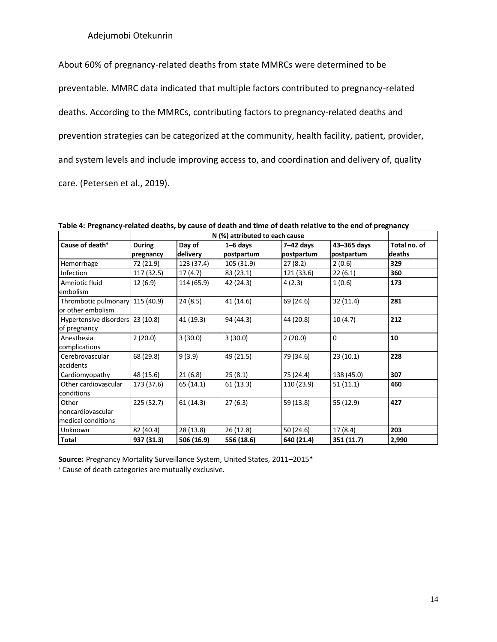About 60% of pregnancy-related deaths from state MMRCs were determined to be preventable. MMRC data indicated that multiple factors contributed to pregnancy-related deaths. According to the MMRCs, contributing factors to pregnancy-related deaths and prevention strategies can be categorized at the community, health facility, patient, provider, and system levels and include improving access to, and coordination and delivery of, quality care. (Petersen et al., 2019).

|                                                      | N (%) attributed to each cause |                    |                            |                           |                           |                        |
|------------------------------------------------------|--------------------------------|--------------------|----------------------------|---------------------------|---------------------------|------------------------|
| Cause of death <sup>+</sup>                          | <b>During</b><br>pregnancy     | Day of<br>delivery | $1 - 6$ days<br>postpartum | $7-42$ days<br>postpartum | 43-365 days<br>postpartum | Total no. of<br>deaths |
| Hemorrhage                                           | 72 (21.9)                      | 123 (37.4)         | 105 (31.9)                 | 27(8.2)                   | 2(0.6)                    | 329                    |
| <b>Infection</b>                                     | 117 (32.5)                     | 17(4.7)            | 83 (23.1)                  | 121 (33.6)                | 22(6.1)                   | 360                    |
| Amniotic fluid<br>embolism                           | 12 (6.9)                       | 114 (65.9)         | 42 (24.3)                  | 4(2.3)                    | 1(0.6)                    | 173                    |
| Thrombotic pulmonary 115 (40.9)<br>or other embolism |                                | 24(8.5)            | 41 (14.6)                  | 69 (24.6)                 | 32(11.4)                  | 281                    |
| Hypertensive disorders 23 (10.8)<br>of pregnancy     |                                | 41 (19.3)          | 94 (44.3)                  | 44 (20.8)                 | 10(4.7)                   | 212                    |
| Anesthesia<br>complications                          | 2(20.0)                        | 3(30.0)            | 3(30.0)                    | 2(20.0)                   | $\mathbf 0$               | 10                     |
| Cerebrovascular<br>accidents                         | 68 (29.8)                      | 9(3.9)             | 49 (21.5)                  | 79 (34.6)                 | 23(10.1)                  | 228                    |
| Cardiomyopathy                                       | 48 (15.6)                      | 21(6.8)            | 25(8.1)                    | 75 (24.4)                 | 138 (45.0)                | 307                    |
| Other cardiovascular<br>conditions                   | 173 (37.6)                     | 65 (14.1)          | 61(13.3)                   | 110 (23.9)                | 51(11.1)                  | 460                    |
| Other<br>noncardiovascular<br>medical conditions     | 225(52.7)                      | 61 (14.3)          | 27(6.3)                    | 59 (13.8)                 | 55 (12.9)                 | 427                    |
| <b>Unknown</b>                                       | 82 (40.4)                      | 28 (13.8)          | 26(12.8)                   | 50 (24.6)                 | 17 (8.4)                  | 203                    |
| Total                                                | 937 (31.3)                     | 506 (16.9)         | 556 (18.6)                 | 640 (21.4)                | 351 (11.7)                | 2,990                  |

**Table 4: Pregnancy-related deaths, by cause of death and time of death relative to the end of pregnancy** 

**Source:** Pregnancy Mortality Surveillance System, United States, 2011–2015\*

† Cause of death categories are mutually exclusive.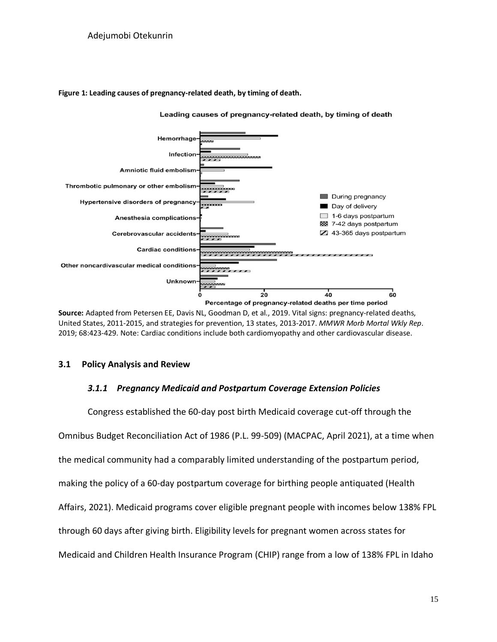## **Figure 1: Leading causes of pregnancy-related death, by timing of death.**



Leading causes of pregnancy-related death, by timing of death

**Source:** Adapted from Petersen EE, Davis NL, Goodman D, et al., 2019. Vital signs: pregnancy-related deaths, United States, 2011-2015, and strategies for prevention, 13 states, 2013-2017. *MMWR Morb Mortal Wkly Rep*. 2019; 68:423-429. Note: Cardiac conditions include both cardiomyopathy and other cardiovascular disease.

## <span id="page-25-1"></span><span id="page-25-0"></span>**3.1 Policy Analysis and Review**

## *3.1.1 Pregnancy Medicaid and Postpartum Coverage Extension Policies*

Congress established the 60-day post birth Medicaid coverage cut-off through the Omnibus Budget Reconciliation Act of 1986 (P.L. 99-509) (MACPAC, April 2021), at a time when the medical community had a comparably limited understanding of the postpartum period, making the policy of a 60-day postpartum coverage for birthing people antiquated (Health Affairs, 2021). Medicaid programs cover eligible pregnant people with incomes below 138% FPL through 60 days after giving birth. Eligibility levels for pregnant women across states for Medicaid and Children Health Insurance Program (CHIP) range from a low of 138% FPL in Idaho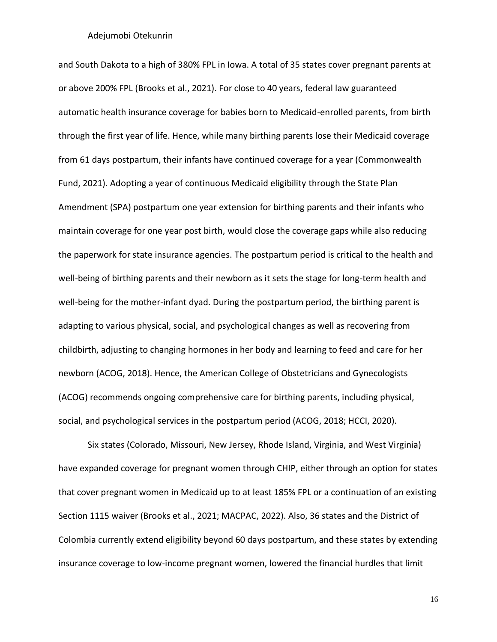and South Dakota to a high of 380% FPL in Iowa. A total of 35 states cover pregnant parents at or above 200% FPL (Brooks et al., 2021). For close to 40 years, federal law guaranteed automatic health insurance coverage for babies born to Medicaid-enrolled parents, from birth through the first year of life. Hence, while many birthing parents lose their Medicaid coverage from 61 days postpartum, their infants have continued coverage for a year (Commonwealth Fund, 2021). Adopting a year of continuous Medicaid eligibility through the State Plan Amendment (SPA) postpartum one year extension for birthing parents and their infants who maintain coverage for one year post birth, would close the coverage gaps while also reducing the paperwork for state insurance agencies. The postpartum period is critical to the health and well-being of birthing parents and their newborn as it sets the stage for long-term health and well-being for the mother-infant dyad. During the postpartum period, the birthing parent is adapting to various physical, social, and psychological changes as well as recovering from childbirth, adjusting to changing hormones in her body and learning to feed and care for her newborn (ACOG, 2018). Hence, the American College of Obstetricians and Gynecologists (ACOG) recommends ongoing comprehensive care for birthing parents, including physical, social, and psychological services in the postpartum period (ACOG, 2018; HCCI, 2020).

Six states (Colorado, Missouri, New Jersey, Rhode Island, Virginia, and West Virginia) have expanded coverage for pregnant women through CHIP, either through an option for states that cover pregnant women in Medicaid up to at least 185% FPL or a continuation of an existing Section 1115 waiver (Brooks et al., 2021; MACPAC, 2022). Also, 36 states and the District of Colombia currently extend eligibility beyond 60 days postpartum, and these states by extending insurance coverage to low-income pregnant women, lowered the financial hurdles that limit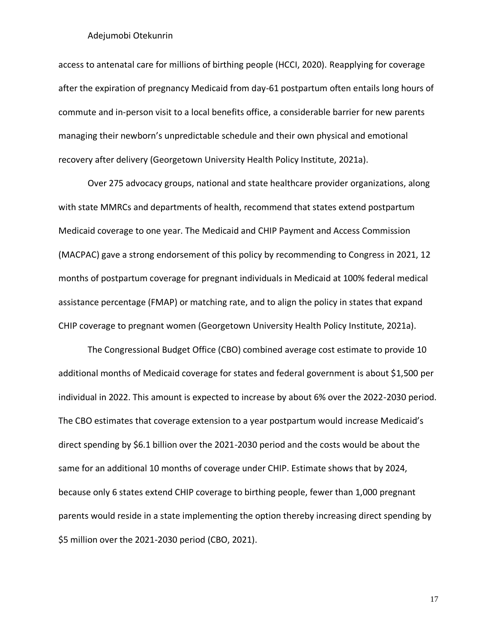access to antenatal care for millions of birthing people (HCCI, 2020). Reapplying for coverage after the expiration of pregnancy Medicaid from day-61 postpartum often entails long hours of commute and in-person visit to a local benefits office, a considerable barrier for new parents managing their newborn's unpredictable schedule and their own physical and emotional recovery after delivery (Georgetown University Health Policy Institute, 2021a).

Over 275 advocacy groups, national and state healthcare provider organizations, along with state MMRCs and departments of health, recommend that states extend postpartum Medicaid coverage to one year. The Medicaid and CHIP Payment and Access Commission (MACPAC) gave a strong endorsement of this policy by recommending to Congress in 2021, 12 months of postpartum coverage for pregnant individuals in Medicaid at 100% federal medical assistance percentage (FMAP) or matching rate, and to align the policy in states that expand CHIP coverage to pregnant women (Georgetown University Health Policy Institute, 2021a).

The Congressional Budget Office (CBO) combined average cost estimate to provide 10 additional months of Medicaid coverage for states and federal government is about \$1,500 per individual in 2022. This amount is expected to increase by about 6% over the 2022-2030 period. The CBO estimates that coverage extension to a year postpartum would increase Medicaid's direct spending by \$6.1 billion over the 2021-2030 period and the costs would be about the same for an additional 10 months of coverage under CHIP. Estimate shows that by 2024, because only 6 states extend CHIP coverage to birthing people, fewer than 1,000 pregnant parents would reside in a state implementing the option thereby increasing direct spending by \$5 million over the 2021-2030 period (CBO, 2021).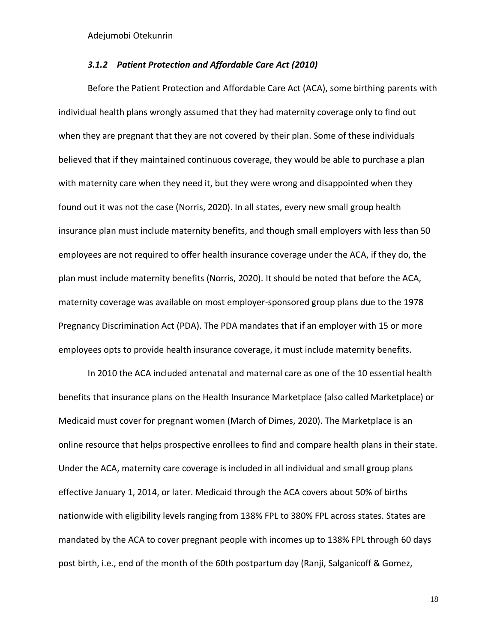## *3.1.2 Patient Protection and Affordable Care Act (2010)*

<span id="page-28-0"></span>Before the Patient Protection and Affordable Care Act (ACA), some birthing parents with individual health plans wrongly assumed that they had maternity coverage only to find out when they are pregnant that they are not covered by their plan. Some of these individuals believed that if they maintained continuous coverage, they would be able to purchase a plan with maternity care when they need it, but they were wrong and disappointed when they found out it was not the case (Norris, 2020). In all states, every new small group health insurance plan must include maternity benefits, and though small employers with less than 50 employees are not required to offer health insurance coverage under the ACA, if they do, the plan must include maternity benefits (Norris, 2020). It should be noted that before the ACA, maternity coverage was available on most employer-sponsored group plans due to the [1978](https://www.eeoc.gov/laws/statutes/pregnancy.cfm)  [Pregnancy Discrimination Act](https://www.eeoc.gov/laws/statutes/pregnancy.cfm) (PDA). The PDA mandates that if an employer with 15 or more employees opts to provide health insurance coverage, it [must include](https://www.eeoc.gov/facts/fs-preg.html) maternity benefits.

In 2010 the ACA included antenatal and maternal care as one of the 10 essential health benefits that insurance plans on the Health Insurance Marketplace (also called Marketplace) or Medicaid must cover for pregnant women (March of Dimes, 2020). The Marketplace is an online resource that helps prospective enrollees to [find and compare health plans](https://www.healthcare.gov/find-premium-estimates/) in their state. Under the ACA, maternity care coverage is included in all individual and small group plans effective January 1, 2014, or later. Medicaid through the ACA covers about 50% of births nationwide with eligibility levels ranging from 138% FPL to 380% FPL across states. States are mandated by the ACA to cover pregnant people with incomes up to 138% FPL through 60 days post birth, i.e., end of the month of the 60th postpartum day (Ranji, Salganicoff & Gomez,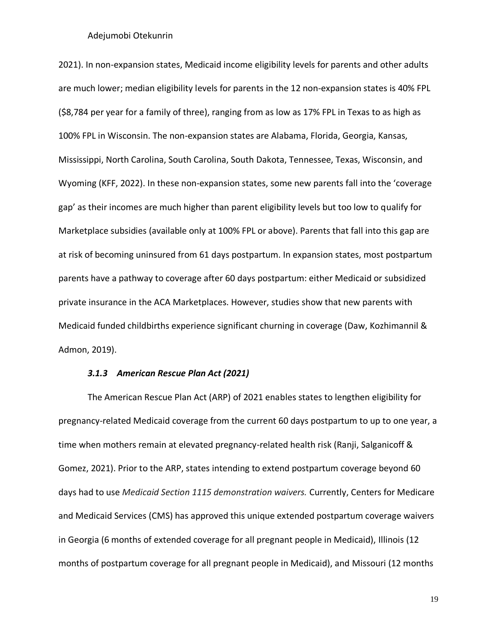2021). In non-expansion states, Medicaid income eligibility levels for parents and other adults are much lower; median eligibility levels for parents in the 12 non-expansion states is 40% FPL (\$8,784 per year for a family of three), ranging from as low as 17% FPL in Texas to as high as 100% FPL in Wisconsin. The non-expansion states are Alabama, Florida, Georgia, Kansas, Mississippi, North Carolina, South Carolina, South Dakota, Tennessee, Texas, Wisconsin, and Wyoming (KFF, 2022). In these non-expansion states, some new parents fall into the 'coverage gap' as their incomes are much higher than parent eligibility levels but too low to qualify for Marketplace subsidies (available only at 100% FPL or above). Parents that fall into this gap are at risk of becoming uninsured from 61 days postpartum. In expansion states, most postpartum parents have a pathway to coverage after 60 days postpartum: either Medicaid or subsidized private insurance in the ACA Marketplaces. However, studies show that new parents with Medicaid funded childbirths experience significant churning in coverage (Daw, Kozhimannil & Admon, 2019).

#### *3.1.3 American Rescue Plan Act (2021)*

<span id="page-29-0"></span>The American Rescue Plan Act (ARP) of 2021 enables states to lengthen eligibility for pregnancy-related Medicaid coverage from the current 60 days postpartum to up to one year, a time when mothers remain at elevated pregnancy-related health risk (Ranji, Salganicoff & Gomez, 2021). Prior to the ARP, states intending to extend postpartum coverage beyond 60 days had to use *Medicaid Section 1115 demonstration waivers.* Currently, Centers for Medicare and Medicaid Services (CMS) has approved this unique extended postpartum coverage waivers in Georgia (6 months of extended coverage for all pregnant people in Medicaid), Illinois (12 months of postpartum coverage for all pregnant people in Medicaid), and Missouri (12 months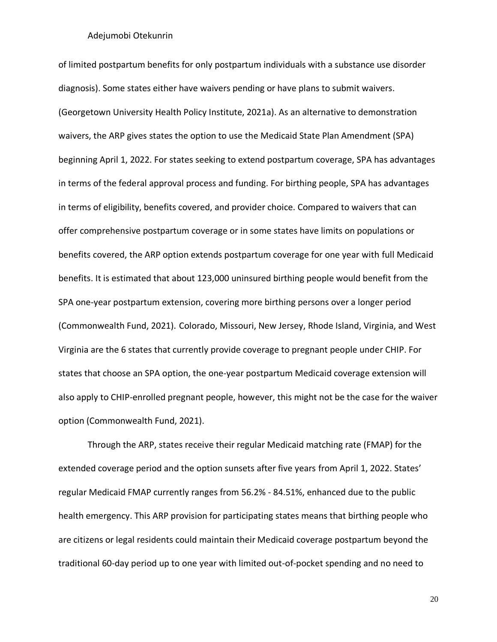of limited postpartum benefits for only postpartum individuals with a substance use disorder diagnosis). Some states either have waivers pending or have plans to submit waivers. (Georgetown University Health Policy Institute, 2021a). As an alternative to demonstration waivers, the ARP gives states the option to use the Medicaid State Plan Amendment (SPA) beginning April 1, 2022. For states seeking to extend postpartum coverage, SPA has advantages in terms of the federal approval process and funding. For birthing people, SPA has advantages in terms of eligibility, benefits covered, and provider choice. Compared to waivers that can offer comprehensive postpartum coverage or in some states have limits on populations or benefits covered, the ARP option extends postpartum coverage for one year with full Medicaid benefits. It is estimated that about 123,000 uninsured birthing people would benefit from the SPA one-year postpartum extension, covering more birthing persons over a longer period (Commonwealth Fund, 2021). Colorado, Missouri, New Jersey, Rhode Island, Virginia, and West Virginia are the 6 states that currently provide coverage to pregnant people under CHIP. For states that choose an SPA option, the one-year postpartum Medicaid coverage extension will also apply to CHIP-enrolled pregnant people, however, this might not be the case for the waiver option (Commonwealth Fund, 2021).

Through the ARP, states receive their regular Medicaid matching rate (FMAP) for the extended coverage period and the option sunsets after five years from April 1, 2022. States' regular Medicaid FMAP currently ranges from 56.2% - 84.51%, enhanced due to the public health emergency. This ARP provision for participating states means that birthing people who are citizens or legal residents could maintain their Medicaid coverage postpartum beyond the traditional 60-day period up to one year with limited out-of-pocket spending and no need to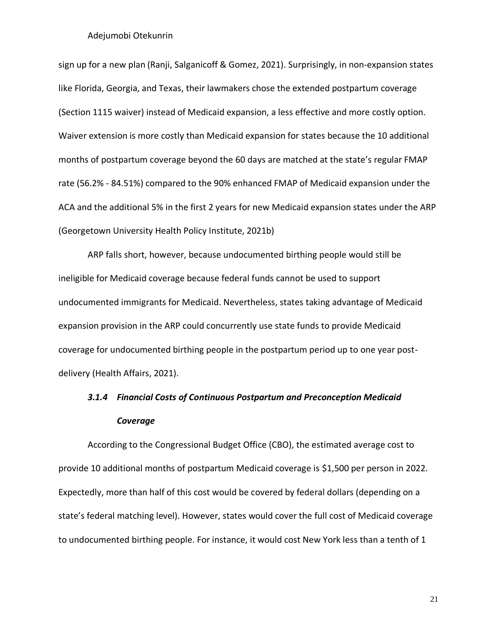sign up for a new plan (Ranji, Salganicoff & Gomez, 2021). Surprisingly, in non-expansion states like Florida, Georgia, and Texas, their lawmakers chose the extended postpartum coverage (Section 1115 waiver) instead of Medicaid expansion, a less effective and more costly option. Waiver extension is more costly than Medicaid expansion for states because the 10 additional months of postpartum coverage beyond the 60 days are matched at the state's regular FMAP rate (56.2% - 84.51%) compared to the 90% enhanced FMAP of Medicaid expansion under the ACA and the additional 5% in the first 2 years for new Medicaid expansion states under the ARP (Georgetown University Health Policy Institute, 2021b)

ARP falls short, however, because undocumented birthing people would still be ineligible for Medicaid coverage because federal funds cannot be used to support undocumented immigrants for Medicaid. Nevertheless, states taking advantage of Medicaid expansion provision in the ARP could concurrently use state funds to provide Medicaid coverage for undocumented birthing people in the postpartum period up to one year postdelivery (Health Affairs, 2021).

# <span id="page-31-0"></span>*3.1.4 Financial Costs of Continuous Postpartum and Preconception Medicaid Coverage*

According to the Congressional Budget Office (CBO), the estimated average cost to provide 10 additional months of postpartum Medicaid coverage is [\\$1,500](https://www.cbo.gov/system/files/2021-02/EnergyandCommerceReconciliationEstimate.pdf#page=6) per person in 2022. Expectedly, more than half of this cost would be covered by federal dollars (depending on a state's federal matching level). However, states would cover the full cost of Medicaid coverage to undocumented birthing people. For instance, it would cost New York less than a tenth of 1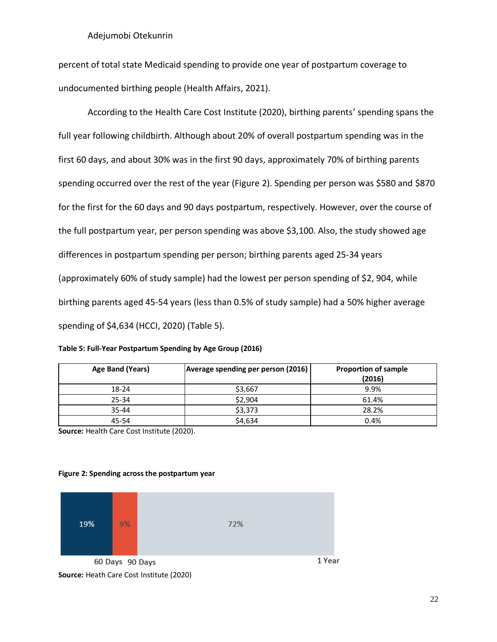percent of [total state Medicaid spending](https://www.budget.ny.gov/pubs/archive/fy22/en/fy22en-fp-q1.pdf#page=106) to provide one year of postpartum coverage to undocumented birthing people (Health Affairs, 2021).

According to the Health Care Cost Institute (2020), birthing parents' spending spans the full year following childbirth. Although about 20% of overall postpartum spending was in the first 60 days, and about 30% was in the first 90 days, approximately 70% of birthing parents spending occurred over the rest of the year (Figure 2). Spending per person was \$580 and \$870 for the first for the 60 days and 90 days postpartum, respectively. However, over the course of the full postpartum year, per person spending was above \$3,100. Also, the study showed age differences in postpartum spending per person; birthing parents aged 25-34 years (approximately 60% of study sample) had the lowest per person spending of \$2, 904, while birthing parents aged 45-54 years (less than 0.5% of study sample) had a 50% higher average spending of \$4,634 (HCCI, 2020) (Table 5).

| Table 5: Full-Year Postpartum Spending by Age Group (2016) |  |  |
|------------------------------------------------------------|--|--|
|------------------------------------------------------------|--|--|

| Age Band (Years) | Average spending per person (2016) | <b>Proportion of sample</b><br>(2016) |
|------------------|------------------------------------|---------------------------------------|
| 18-24            | \$3,667                            | 9.9%                                  |
| 25-34            | \$2,904                            | 61.4%                                 |
| 35-44            | \$3,373                            | 28.2%                                 |
| 45-54            | \$4,634                            | 0.4%                                  |

**Source:** Health Care Cost Institute (2020).

#### **Figure 2: Spending across the postpartum year**

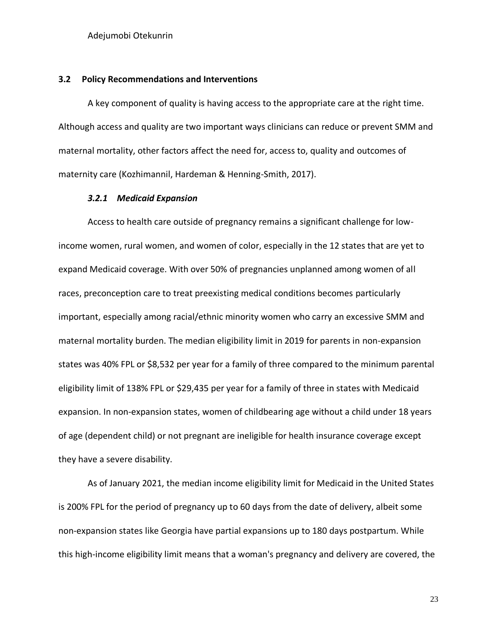#### <span id="page-33-0"></span>**3.2 Policy Recommendations and Interventions**

A key component of quality is having access to the appropriate care at the right time. Although access and quality are two important ways clinicians can reduce or prevent SMM and maternal mortality, other factors affect the need for, access to, quality and outcomes of maternity care (Kozhimannil, Hardeman & Henning-Smith, 2017).

## *3.2.1 Medicaid Expansion*

<span id="page-33-1"></span>Access to health care outside of pregnancy remains a significant challenge for lowincome women, rural women, and women of color, especially in the 12 states that are yet to expand Medicaid coverage. With over 50% of pregnancies unplanned among women of all races, preconception care to treat preexisting medical conditions becomes particularly important, especially among racial/ethnic minority women who carry an excessive SMM and maternal mortality burden. The median eligibility limit in 2019 for parents in non-expansion states was 40% FPL or \$8,532 per year for a family of three compared to the minimum parental eligibility limit of 138% FPL or \$29,435 per year for a family of three in states with Medicaid expansion. In non-expansion states, women of childbearing age without a child under 18 years of age (dependent child) or not pregnant are ineligible for health insurance coverage except they have a severe disability.

As of January 2021, the median income eligibility limit for Medicaid in the United States is 200% FPL for the period of pregnancy up to 60 days from the date of delivery, albeit some non-expansion states like Georgia have partial expansions up to 180 days postpartum. While this high-income eligibility limit means that a woman's pregnancy and delivery are covered, the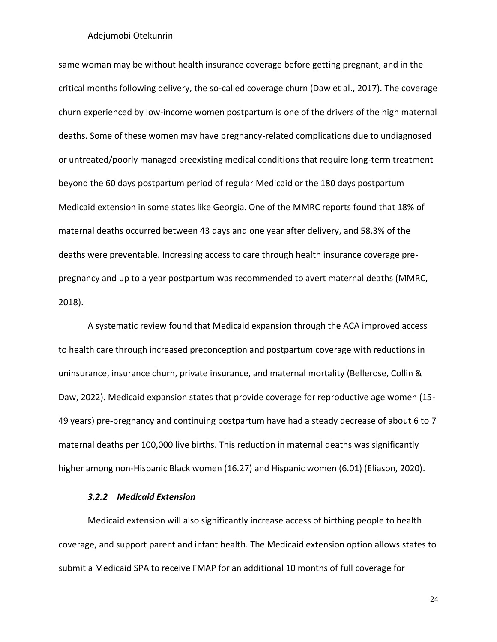same woman may be without health insurance coverage before getting pregnant, and in the critical months following delivery, the so-called coverage churn (Daw et al., 2017). The coverage churn experienced by low-income women postpartum is one of the drivers of the high maternal deaths. Some of these women may have pregnancy-related complications due to undiagnosed or untreated/poorly managed preexisting medical conditions that require long-term treatment beyond the 60 days postpartum period of regular Medicaid or the 180 days postpartum Medicaid extension in some states like Georgia. One of the MMRC reports found that 18% of maternal deaths occurred between 43 days and one year after delivery, and 58.3% of the deaths were preventable. Increasing access to care through health insurance coverage prepregnancy and up to a year postpartum was recommended to avert maternal deaths (MMRC, 2018).

A systematic review found that Medicaid expansion through the ACA improved access to health care through increased preconception and postpartum coverage with reductions in uninsurance, insurance churn, private insurance, and maternal mortality (Bellerose, Collin & Daw, 2022). Medicaid expansion states that provide coverage for reproductive age women (15- 49 years) pre-pregnancy and continuing postpartum have had a steady decrease of about 6 to 7 maternal deaths per 100,000 live births. This reduction in maternal deaths was significantly higher among non-Hispanic Black women (16.27) and Hispanic women (6.01) (Eliason, 2020).

## *3.2.2 Medicaid Extension*

<span id="page-34-0"></span>Medicaid extension will also significantly increase [access](https://ccf.georgetown.edu/2020/11/05/medicaid-and-chip-coverage-for-pregnant-women-federal-requirements-state-options/) of birthing people to health coverage, and support parent and infant health. The Medicaid extension option allows states to submit a Medicaid SPA to receive FMAP for an additional 10 months of full coverage for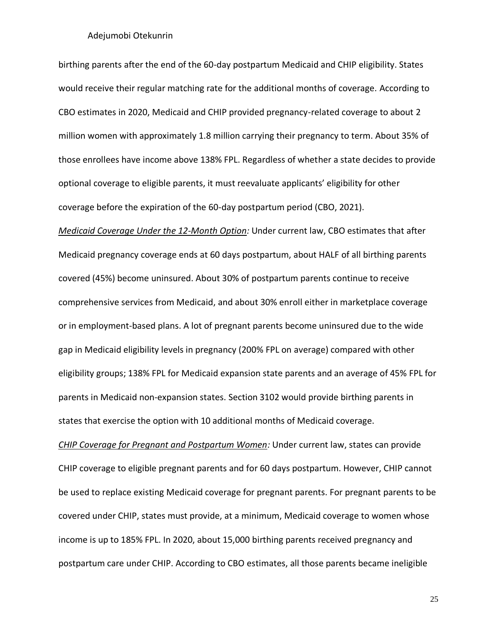birthing parents after the end of the 60-day postpartum Medicaid and CHIP eligibility. States would receive their regular matching rate for the additional months of coverage. According to CBO estimates in 2020, Medicaid and CHIP provided pregnancy-related coverage to about 2 million women with approximately 1.8 million carrying their pregnancy to term. About 35% of those enrollees have income above 138% FPL. Regardless of whether a state decides to provide optional coverage to eligible parents, it must reevaluate applicants' eligibility for other coverage before the expiration of the 60-day postpartum period (CBO, 2021).

*Medicaid Coverage Under the 12-Month Option:* Under current law, CBO estimates that after Medicaid pregnancy coverage ends at 60 days postpartum, about HALF of all birthing parents covered (45%) become uninsured. About 30% of postpartum parents continue to receive comprehensive services from Medicaid, and about 30% enroll either in marketplace coverage or in employment-based plans. A lot of pregnant parents become uninsured due to the wide gap in Medicaid eligibility levels in pregnancy (200% FPL on [average\)](http://files.kff.org/attachment/Report-Medicaid-and-CHIP-Eligibility,-Enrollment-and-Cost-Sharing-Policies-as-of-January-2020.pdf#page=40) compared with other eligibility groups; 138% FPL for Medicaid expansion state parents and an average of 45% FPL for [parents](http://files.kff.org/attachment/Report-Medicaid-and-CHIP-Eligibility,-Enrollment-and-Cost-Sharing-Policies-as-of-January-2020.pdf#page=43) in Medicaid non-expansion states. Section 3102 would provide birthing parents in states that exercise the option with 10 additional months of Medicaid coverage.

*CHIP Coverage for Pregnant and Postpartum Women:* Under current law, states can provide CHIP coverage to eligible pregnant parents and for 60 days postpartum. However, CHIP cannot be used to replace existing Medicaid coverage for pregnant parents. For pregnant parents to be covered under CHIP, states must provide, at a minimum, Medicaid coverage to women whose income is up to 185% FPL. In 2020, about 15,000 birthing parents received pregnancy and postpartum care under CHIP. According to CBO estimates, all those parents became ineligible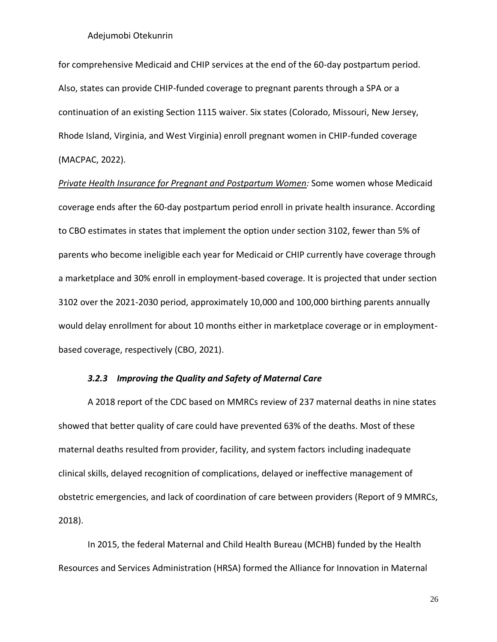for comprehensive Medicaid and CHIP services at the end of the 60-day postpartum period. Also, states can provide CHIP-funded coverage to pregnant parents through a SPA or a continuation of an existing Section 1115 waiver. Six states (Colorado, Missouri, New Jersey, Rhode Island, Virginia, and West Virginia) enroll pregnant women in CHIP-funded coverage (MACPAC, 2022).

*Private Health Insurance for Pregnant and Postpartum Women:* Some women whose Medicaid coverage ends after the 60-day postpartum period enroll in private health insurance. According to CBO estimates in states that implement the option under section 3102, fewer than 5% of parents who become ineligible each year for Medicaid or CHIP currently have coverage through a marketplace and 30% enroll in employment-based coverage. It is projected that under section 3102 over the 2021-2030 period, approximately 10,000 and 100,000 birthing parents annually would delay enrollment for about 10 months either in marketplace coverage or in employmentbased coverage, respectively (CBO, 2021).

## *3.2.3 Improving the Quality and Safety of Maternal Care*

<span id="page-36-0"></span>A 2018 report of the CDC based on MMRCs review of 237 maternal deaths in nine states showed that better quality of care could have prevented 63% of the deaths. Most of these maternal deaths resulted from provider, facility, and system factors including inadequate clinical skills, delayed recognition of complications, delayed or ineffective management of obstetric emergencies, and lack of coordination of care between providers (Report of 9 MMRCs, 2018).

In 2015, the federal Maternal and Child Health Bureau (MCHB) funded by the Health Resources and Services Administration (HRSA) formed the Alliance for Innovation in Maternal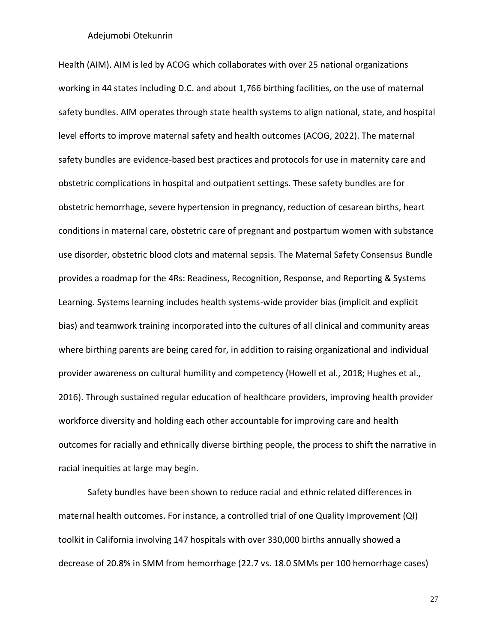Health (AIM). AIM is led by ACOG which collaborates with over 25 national organizations working in 44 states including D.C. and about 1,766 birthing facilities, on the use of maternal safety bundles. AIM operates through state health systems to align national, state, and hospital level efforts to improve maternal safety and health outcomes (ACOG, 2022). The maternal safety bundles are evidence-based best practices and protocols for use in maternity care and obstetric complications in hospital and outpatient settings. These safety bundles are for obstetric hemorrhage, severe hypertension in pregnancy, reduction of cesarean births, heart conditions in maternal care, obstetric care of pregnant and postpartum women with substance use disorder, obstetric blood clots and maternal sepsis. The Maternal Safety Consensus Bundle provides a roadmap for the 4Rs: Readiness, Recognition, Response, and Reporting & Systems Learning. Systems learning includes health systems-wide provider bias (implicit and explicit bias) and teamwork training incorporated into the cultures of all clinical and community areas where birthing parents are being cared for, in addition to raising organizational and individual provider awareness on cultural humility and competency (Howell et al., 2018; Hughes et al., 2016). Through sustained regular education of healthcare providers, improving health provider workforce diversity and holding each other accountable for improving care and health outcomes for racially and ethnically diverse birthing people, the process to shift the narrative in racial inequities at large may begin.

Safety bundles have been shown to reduce racial and ethnic related differences in maternal health outcomes. For instance, a controlled trial of one Quality Improvement (QI) toolkit in California involving 147 hospitals with over 330,000 births annually showed a decrease of 20.8% in SMM from hemorrhage (22.7 vs. 18.0 SMMs per 100 hemorrhage cases)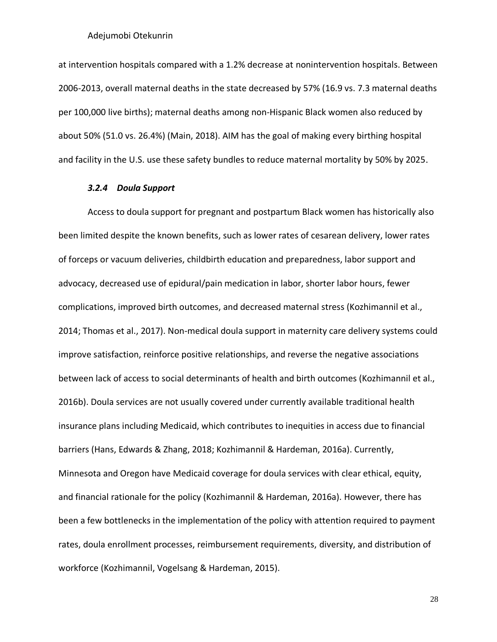at intervention hospitals compared with a 1.2% decrease at nonintervention hospitals. Between 2006-2013, overall maternal deaths in the state decreased by 57% (16.9 vs. 7.3 maternal deaths per 100,000 live births); maternal deaths among non-Hispanic Black women also reduced by about 50% (51.0 vs. 26.4%) (Main, 2018). AIM has the goal of making every birthing hospital and facility in the U.S. use these safety bundles to reduce maternal mortality by 50% by 2025.

#### *3.2.4 Doula Support*

<span id="page-38-0"></span>Access to doula support for pregnant and postpartum Black women has historically also been limited despite the known benefits, such as lower rates of cesarean delivery, lower rates of forceps or vacuum deliveries, childbirth education and preparedness, labor support and advocacy, decreased use of epidural/pain medication in labor, shorter labor hours, fewer complications, improved birth outcomes, and decreased maternal stress (Kozhimannil et al., 2014; Thomas et al., 2017). Non-medical doula support in maternity care delivery systems could improve satisfaction, reinforce positive relationships, and reverse the negative associations between lack of access to social determinants of health and birth outcomes (Kozhimannil et al., 2016b). Doula services are not usually covered under currently available traditional health insurance plans including Medicaid, which contributes to inequities in access due to financial barriers (Hans, Edwards & Zhang, 2018; Kozhimannil & Hardeman, 2016a). Currently, Minnesota and Oregon have Medicaid coverage for doula services with clear ethical, equity, and financial rationale for the policy (Kozhimannil & Hardeman, 2016a). However, there has been a few bottlenecks in the implementation of the policy with attention required to payment rates, doula enrollment processes, reimbursement requirements, diversity, and distribution of workforce (Kozhimannil, Vogelsang & Hardeman, 2015).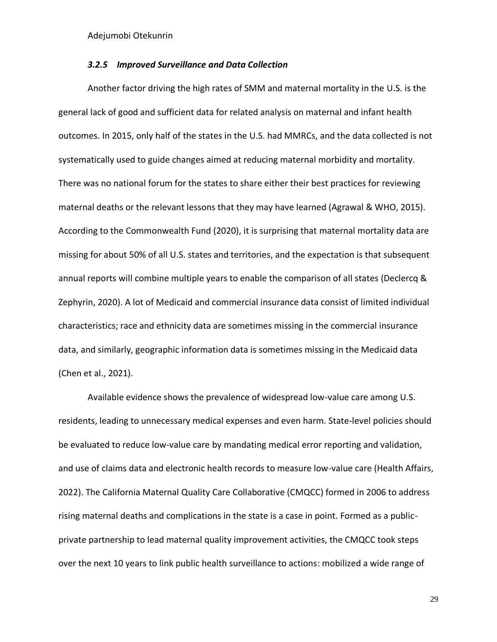## *3.2.5 Improved Surveillance and Data Collection*

<span id="page-39-0"></span>Another factor driving the high rates of SMM and maternal mortality in the U.S. is the general lack of good and sufficient data for related analysis on maternal and infant health outcomes. In 2015, only half of the states in the U.S. had MMRCs, and the data collected is not systematically used to guide changes aimed at reducing maternal morbidity and mortality. There was no national forum for the states to share either their best practices for reviewing maternal deaths or the relevant lessons that they may have learned (Agrawal & WHO, 2015). According to the Commonwealth Fund (2020), it is surprising that maternal mortality data are missing for about 50% of all U.S. states and territories, and the expectation is that subsequent annual reports will combine multiple years to enable the comparison of all states (Declercq & Zephyrin, 2020). A lot of Medicaid and commercial insurance data consist of limited individual characteristics; race and ethnicity data are sometimes missing in the commercial insurance data, and similarly, geographic information data is sometimes missing in the Medicaid data (Chen et al., 2021).

Available evidence shows the prevalence of widespread low-value care among U.S. residents, leading to unnecessary medical expenses and even harm. State-level policies should be evaluated to reduce low-value care by mandating medical error reporting and validation, and use of claims data and electronic health records to measure low-value care (Health Affairs, 2022). The California Maternal Quality Care Collaborative (CMQCC) formed in 2006 to address rising maternal deaths and complications in the state is a case in point. Formed as a publicprivate partnership to lead maternal quality improvement activities, the CMQCC took steps over the next 10 years to link public health surveillance to actions: mobilized a wide range of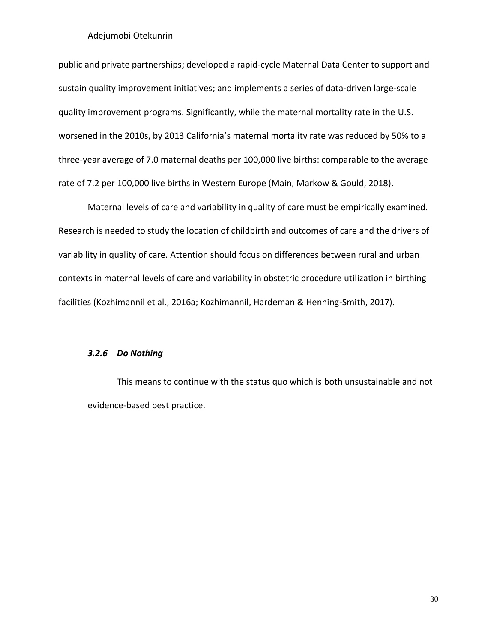public and private partnerships; developed a rapid-cycle Maternal Data Center to support and sustain quality improvement initiatives; and implements a series of data-driven large-scale quality improvement programs. Significantly, while the maternal mortality rate in the U.S. worsened in the 2010s, by 2013 California's maternal mortality rate was reduced by 50% to a three-year average of 7.0 maternal deaths per 100,000 live births: comparable to the average rate of 7.2 per 100,000 live births in Western Europe (Main, Markow & Gould, 2018).

Maternal levels of care and variability in quality of care must be empirically examined. Research is needed to study the location of childbirth and outcomes of care and the drivers of variability in quality of care. Attention should focus on differences between rural and urban contexts in maternal levels of care and variability in obstetric procedure utilization in birthing facilities (Kozhimannil et al., 2016a; Kozhimannil, Hardeman & Henning-Smith, 2017).

#### *3.2.6 Do Nothing*

This means to continue with the status quo which is both unsustainable and not evidence-based best practice.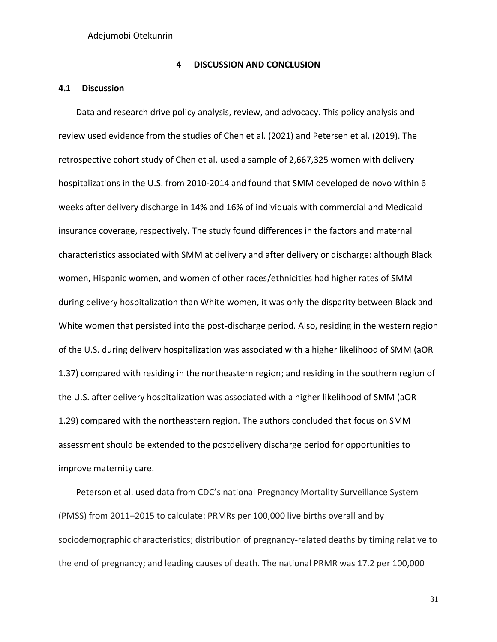#### **4 DISCUSSION AND CONCLUSION**

## <span id="page-41-1"></span><span id="page-41-0"></span>**4.1 Discussion**

Data and research drive policy analysis, review, and advocacy. This policy analysis and review used evidence from the studies of Chen et al. (2021) and Petersen et al. (2019). The retrospective cohort study of Chen et al. used a sample of 2,667,325 women with delivery hospitalizations in the U.S. from 2010-2014 and found that SMM developed de novo within 6 weeks after delivery discharge in 14% and 16% of individuals with commercial and Medicaid insurance coverage, respectively. The study found differences in the factors and maternal characteristics associated with SMM at delivery and after delivery or discharge: although Black women, Hispanic women, and women of other races/ethnicities had higher rates of SMM during delivery hospitalization than White women, it was only the disparity between Black and White women that persisted into the post-discharge period. Also, residing in the western region of the U.S. during delivery hospitalization was associated with a higher likelihood of SMM (aOR 1.37) compared with residing in the northeastern region; and residing in the southern region of the U.S. after delivery hospitalization was associated with a higher likelihood of SMM (aOR 1.29) compared with the northeastern region. The authors concluded that focus on SMM assessment should be extended to the postdelivery discharge period for opportunities to improve maternity care.

Peterson et al. used data from CDC's national Pregnancy Mortality Surveillance System (PMSS) from 2011–2015 to calculate: PRMRs per 100,000 live births overall and by sociodemographic characteristics; distribution of pregnancy-related deaths by timing relative to the end of pregnancy; and leading causes of death. The national PRMR was 17.2 per 100,000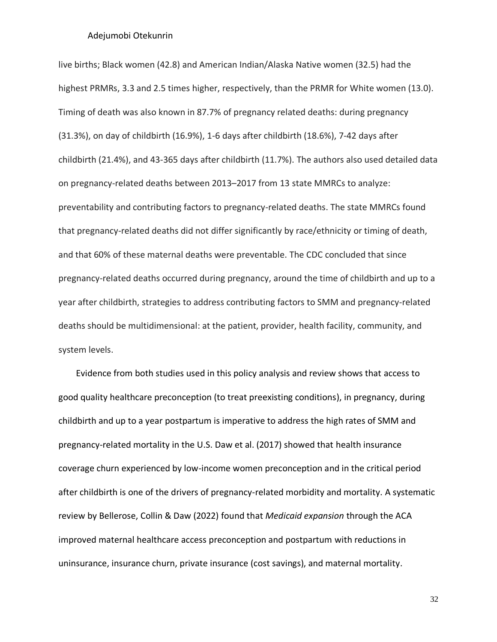live births; Black women (42.8) and American Indian/Alaska Native women (32.5) had the highest PRMRs, 3.3 and 2.5 times higher, respectively, than the PRMR for White women (13.0). Timing of death was also known in 87.7% of pregnancy related deaths: during pregnancy (31.3%), on day of childbirth (16.9%), 1-6 days after childbirth (18.6%), 7-42 days after childbirth (21.4%), and 43-365 days after childbirth (11.7%). The authors also used detailed data on pregnancy-related deaths between 2013–2017 from 13 state MMRCs to analyze: preventability and contributing factors to pregnancy-related deaths. The state MMRCs found that pregnancy-related deaths did not differ significantly by race/ethnicity or timing of death, and that 60% of these maternal deaths were preventable. The CDC concluded that since pregnancy-related deaths occurred during pregnancy, around the time of childbirth and up to a year after childbirth, strategies to address contributing factors to SMM and pregnancy-related deaths should be multidimensional: at the patient, provider, health facility, community, and system levels.

Evidence from both studies used in this policy analysis and review shows that access to good quality healthcare preconception (to treat preexisting conditions), in pregnancy, during childbirth and up to a year postpartum is imperative to address the high rates of SMM and pregnancy-related mortality in the U.S. Daw et al. (2017) showed that health insurance coverage churn experienced by low-income women preconception and in the critical period after childbirth is one of the drivers of pregnancy-related morbidity and mortality. A systematic review by Bellerose, Collin & Daw (2022) found that *Medicaid expansion* through the ACA improved maternal healthcare access preconception and postpartum with reductions in uninsurance, insurance churn, private insurance (cost savings), and maternal mortality.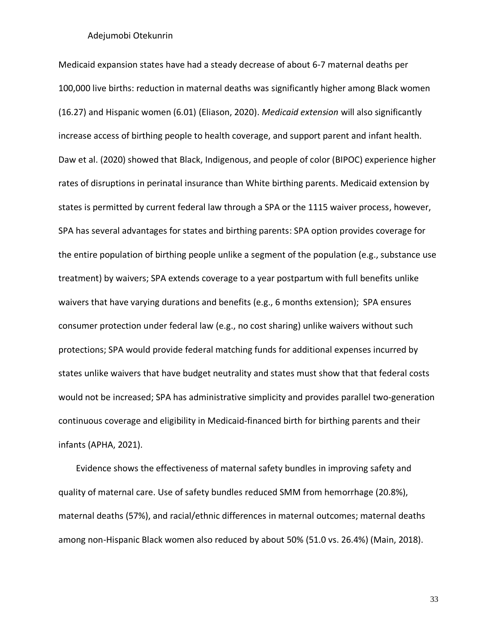Medicaid expansion states have had a steady decrease of about 6-7 maternal deaths per 100,000 live births: reduction in maternal deaths was significantly higher among Black women (16.27) and Hispanic women (6.01) (Eliason, 2020). *Medicaid extension* will also significantly increase [access](https://ccf.georgetown.edu/2020/11/05/medicaid-and-chip-coverage-for-pregnant-women-federal-requirements-state-options/) of birthing people to health coverage, and support parent and infant health. Daw et al. (2020) showed that Black, Indigenous, and people of color (BIPOC) experience higher rates of disruptions in perinatal insurance than White birthing parents. Medicaid extension by states is permitted by current federal law through a SPA or the 1115 waiver process, however, SPA has several advantages for states and birthing parents: SPA option provides coverage for the entire population of birthing people unlike a segment of the population (e.g., substance use treatment) by waivers; SPA extends coverage to a year postpartum with full benefits unlike waivers that have varying durations and benefits (e.g., 6 months extension); SPA ensures consumer protection under federal law (e.g., no cost sharing) unlike waivers without such protections; SPA would provide federal matching funds for additional expenses incurred by states unlike waivers that have budget neutrality and states must show that that federal costs would not be increased; SPA has administrative simplicity and provides parallel two-generation continuous coverage and eligibility in Medicaid-financed birth for birthing parents and their infants (APHA, 2021).

Evidence shows the effectiveness of maternal safety bundles in improving safety and quality of maternal care. Use of safety bundles reduced SMM from hemorrhage (20.8%), maternal deaths (57%), and racial/ethnic differences in maternal outcomes; maternal deaths among non-Hispanic Black women also reduced by about 50% (51.0 vs. 26.4%) (Main, 2018).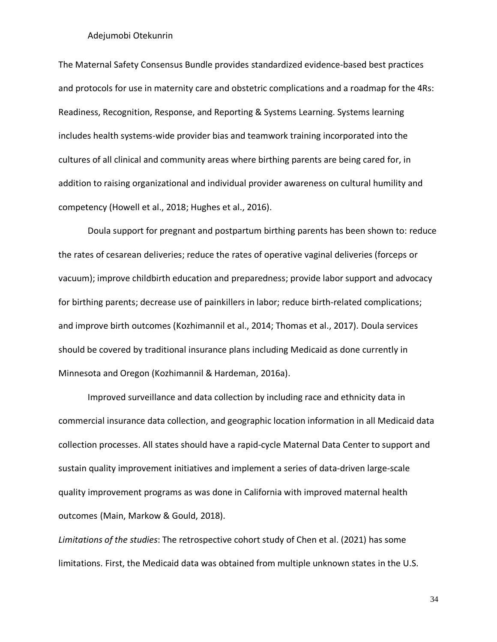The Maternal Safety Consensus Bundle provides standardized evidence-based best practices and protocols for use in maternity care and obstetric complications and a roadmap for the 4Rs: Readiness, Recognition, Response, and Reporting & Systems Learning. Systems learning includes health systems-wide provider bias and teamwork training incorporated into the cultures of all clinical and community areas where birthing parents are being cared for, in addition to raising organizational and individual provider awareness on cultural humility and competency (Howell et al., 2018; Hughes et al., 2016).

Doula support for pregnant and postpartum birthing parents has been shown to: reduce the rates of cesarean deliveries; reduce the rates of operative vaginal deliveries (forceps or vacuum); improve childbirth education and preparedness; provide labor support and advocacy for birthing parents; decrease use of painkillers in labor; reduce birth-related complications; and improve birth outcomes (Kozhimannil et al., 2014; Thomas et al., 2017). Doula services should be covered by traditional insurance plans including Medicaid as done currently in Minnesota and Oregon (Kozhimannil & Hardeman, 2016a).

Improved surveillance and data collection by including race and ethnicity data in commercial insurance data collection, and geographic location information in all Medicaid data collection processes. All states should have a rapid-cycle Maternal Data Center to support and sustain quality improvement initiatives and implement a series of data-driven large-scale quality improvement programs as was done in California with improved maternal health outcomes (Main, Markow & Gould, 2018).

*Limitations of the studies*: The retrospective cohort study of Chen et al. (2021) has some limitations. First, the Medicaid data was obtained from multiple unknown states in the U.S.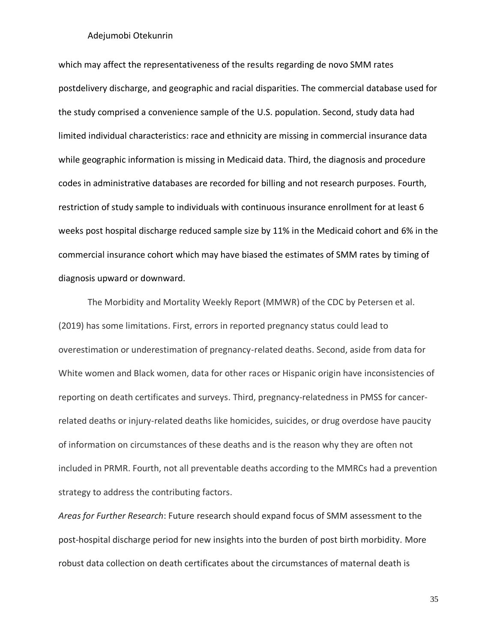which may affect the representativeness of the results regarding de novo SMM rates postdelivery discharge, and geographic and racial disparities. The commercial database used for the study comprised a convenience sample of the U.S. population. Second, study data had limited individual characteristics: race and ethnicity are missing in commercial insurance data while geographic information is missing in Medicaid data. Third, the diagnosis and procedure codes in administrative databases are recorded for billing and not research purposes. Fourth, restriction of study sample to individuals with continuous insurance enrollment for at least 6 weeks post hospital discharge reduced sample size by 11% in the Medicaid cohort and 6% in the commercial insurance cohort which may have biased the estimates of SMM rates by timing of diagnosis upward or downward.

The Morbidity and Mortality Weekly Report (MMWR) of the CDC by Petersen et al. (2019) has some limitations. First, errors in reported pregnancy status could lead to overestimation or underestimation of pregnancy-related deaths. Second, aside from data for White women and Black women, data for other races or Hispanic origin have inconsistencies of reporting on death certificates and surveys. Third, pregnancy-relatedness in PMSS for cancerrelated deaths or injury-related deaths like homicides, suicides, or drug overdose have paucity of information on circumstances of these deaths and is the reason why they are often not included in PRMR. Fourth, not all preventable deaths according to the MMRCs had a prevention strategy to address the contributing factors.

*Areas for Further Research*: Future research should expand focus of SMM assessment to the post-hospital discharge period for new insights into the burden of post birth morbidity. More robust data collection on death certificates about the circumstances of maternal death is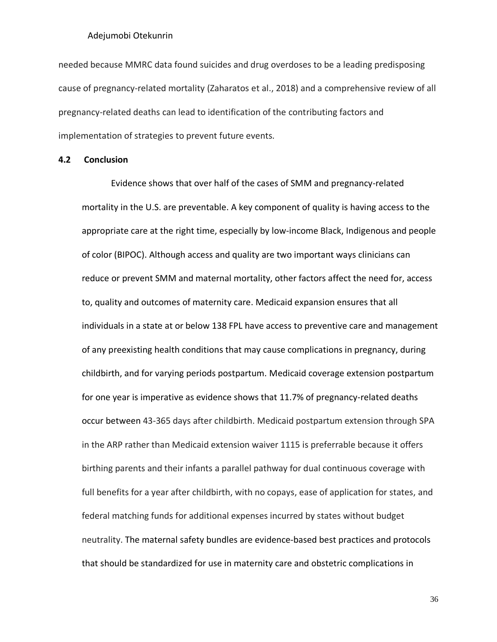needed because MMRC data found suicides and drug overdoses to be a leading predisposing cause of pregnancy-related mortality (Zaharatos et al., 2018) and a comprehensive review of all pregnancy-related deaths can lead to identification of the contributing factors and implementation of strategies to prevent future events*.*

#### <span id="page-46-0"></span>**4.2 Conclusion**

Evidence shows that over half of the cases of SMM and pregnancy-related mortality in the U.S. are preventable. A key component of quality is having access to the appropriate care at the right time, especially by low-income Black, Indigenous and people of color (BIPOC). Although access and quality are two important ways clinicians can reduce or prevent SMM and maternal mortality, other factors affect the need for, access to, quality and outcomes of maternity care. Medicaid expansion ensures that all individuals in a state at or below 138 FPL have access to preventive care and management of any preexisting health conditions that may cause complications in pregnancy, during childbirth, and for varying periods postpartum. Medicaid coverage extension postpartum for one year is imperative as evidence shows that 11.7% of pregnancy-related deaths occur between 43-365 days after childbirth. Medicaid postpartum extension through SPA in the ARP rather than Medicaid extension waiver 1115 is preferrable because it offers birthing parents and their infants a parallel pathway for dual continuous coverage with full benefits for a year after childbirth, with no copays, ease of application for states, and federal matching funds for additional expenses incurred by states without budget neutrality. The maternal safety bundles are evidence-based best practices and protocols that should be standardized for use in maternity care and obstetric complications in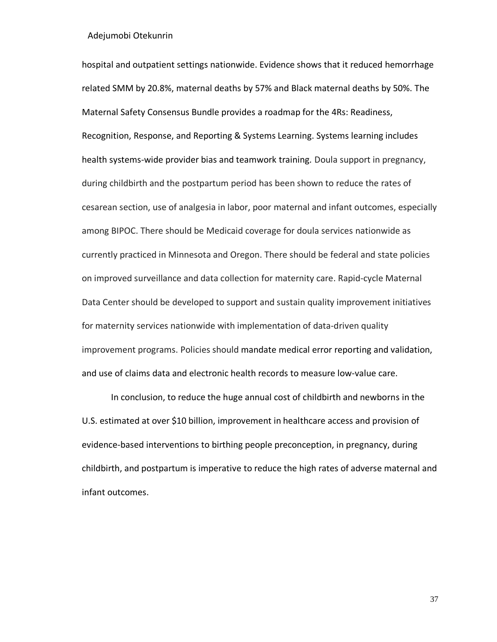hospital and outpatient settings nationwide. Evidence shows that it reduced hemorrhage related SMM by 20.8%, maternal deaths by 57% and Black maternal deaths by 50%. The Maternal Safety Consensus Bundle provides a roadmap for the 4Rs: Readiness, Recognition, Response, and Reporting & Systems Learning. Systems learning includes health systems-wide provider bias and teamwork training*.* Doula support in pregnancy, during childbirth and the postpartum period has been shown to reduce the rates of cesarean section, use of analgesia in labor, poor maternal and infant outcomes, especially among BIPOC. There should be Medicaid coverage for doula services nationwide as currently practiced in Minnesota and Oregon. There should be federal and state policies on improved surveillance and data collection for maternity care. Rapid-cycle Maternal Data Center should be developed to support and sustain quality improvement initiatives for maternity services nationwide with implementation of data-driven quality improvement programs. Policies should mandate medical error reporting and validation, and use of claims data and electronic health records to measure low-value care.

In conclusion, to reduce the huge annual cost of childbirth and newborns in the U.S. estimated at over \$10 billion, improvement in healthcare access and provision of evidence-based interventions to birthing people preconception, in pregnancy, during childbirth, and postpartum is imperative to reduce the high rates of adverse maternal and infant outcomes.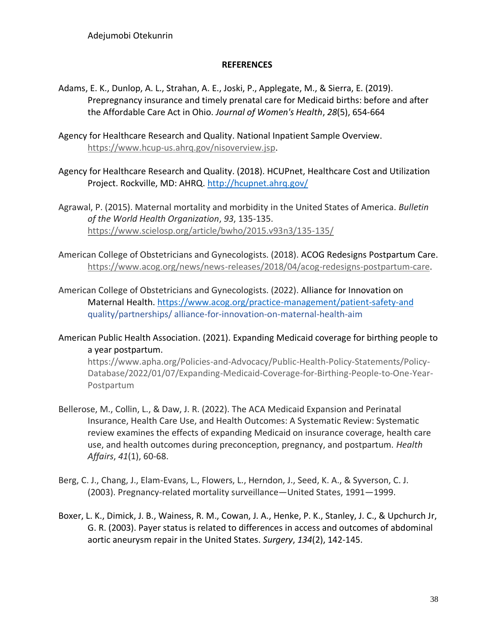## **REFERENCES**

- <span id="page-48-0"></span>Adams, E. K., Dunlop, A. L., Strahan, A. E., Joski, P., Applegate, M., & Sierra, E. (2019). Prepregnancy insurance and timely prenatal care for Medicaid births: before and after the Affordable Care Act in Ohio. *Journal of Women's Health*, *28*(5), 654-664
- Agency for Healthcare Research and Quality. National Inpatient Sample Overview. [https://www.hcup-us.ahrq.gov/nisoverview.jsp.](https://www.hcup-us.ahrq.gov/nisoverview.jsp)
- Agency for Healthcare Research and Quality. (2018). HCUPnet, Healthcare Cost and Utilization Project. Rockville, MD: AHRQ.<http://hcupnet.ahrq.gov/>
- Agrawal, P. (2015). Maternal mortality and morbidity in the United States of America. *Bulletin of the World Health Organization*, *93*, 135-135. <https://www.scielosp.org/article/bwho/2015.v93n3/135-135/>
- American College of Obstetricians and Gynecologists. (2018). ACOG Redesigns Postpartum Care. [https://www.acog.org/news/news-releases/2018/04/acog-redesigns-postpartum-care.](https://www.acog.org/news/news-releases/2018/04/acog-redesigns-postpartum-care)
- American College of Obstetricians and Gynecologists. (2022). Alliance for Innovation on Maternal Health[. https://www.acog.org/practice-management/patient-safety-and](https://www.acog.org/practice-management/patient-safety-and) quality/partnerships/ alliance-for-innovation-on-maternal-health-aim
- American Public Health Association. (2021). Expanding Medicaid coverage for birthing people to a year postpartum.

[https://www.apha.org/Policies-and-Advocacy/Public-Health-Policy-Statements/Policy-](https://www.apha.org/Policies-and-Advocacy/Public-Health-Policy-Statements/Policy-%09Database/2022/01/07/Expanding-Medicaid-Coverage-for-Birthing-People-to-One-Year-%09Postpartum)[Database/2022/01/07/Expanding-Medicaid-Coverage-for-Birthing-People-to-One-Year-](https://www.apha.org/Policies-and-Advocacy/Public-Health-Policy-Statements/Policy-%09Database/2022/01/07/Expanding-Medicaid-Coverage-for-Birthing-People-to-One-Year-%09Postpartum)[Postpartum](https://www.apha.org/Policies-and-Advocacy/Public-Health-Policy-Statements/Policy-%09Database/2022/01/07/Expanding-Medicaid-Coverage-for-Birthing-People-to-One-Year-%09Postpartum)

- Bellerose, M., Collin, L., & Daw, J. R. (2022). The ACA Medicaid Expansion and Perinatal Insurance, Health Care Use, and Health Outcomes: A Systematic Review: Systematic review examines the effects of expanding Medicaid on insurance coverage, health care use, and health outcomes during preconception, pregnancy, and postpartum. *Health Affairs*, *41*(1), 60-68.
- Berg, C. J., Chang, J., Elam-Evans, L., Flowers, L., Herndon, J., Seed, K. A., & Syverson, C. J. (2003). Pregnancy-related mortality surveillance—United States, 1991—1999.
- Boxer, L. K., Dimick, J. B., Wainess, R. M., Cowan, J. A., Henke, P. K., Stanley, J. C., & Upchurch Jr, G. R. (2003). Payer status is related to differences in access and outcomes of abdominal aortic aneurysm repair in the United States. *Surgery*, *134*(2), 142-145.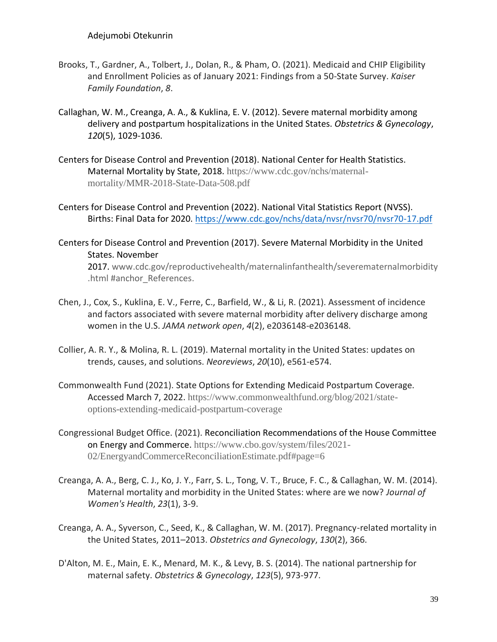- Brooks, T., Gardner, A., Tolbert, J., Dolan, R., & Pham, O. (2021). Medicaid and CHIP Eligibility and Enrollment Policies as of January 2021: Findings from a 50-State Survey. *Kaiser Family Foundation*, *8*.
- Callaghan, W. M., Creanga, A. A., & Kuklina, E. V. (2012). Severe maternal morbidity among delivery and postpartum hospitalizations in the United States. *Obstetrics & Gynecology*, *120*(5), 1029-1036.
- Centers for Disease Control and Prevention (2018). National Center for Health Statistics. Maternal Mortality by State, 2018. [https://www.cdc.gov/nchs/maternal](https://www.cdc.gov/nchs/maternal-%09mortality/MMR-2018-State-Data-508.pdf)[mortality/MMR-2018-State-Data-508.pdf](https://www.cdc.gov/nchs/maternal-%09mortality/MMR-2018-State-Data-508.pdf)
- Centers for Disease Control and Prevention (2022). National Vital Statistics Report (NVSS). Births: Final Data for 2020.<https://www.cdc.gov/nchs/data/nvsr/nvsr70/nvsr70-17.pdf>
- Centers for Disease Control and Prevention (2017). Severe Maternal Morbidity in the United States. November 2017. [www.cdc.gov/reproductivehealth/maternalinfanthealth/severematernalmorbidity](http://www.cdc.gov/reproductivehealth/maternalinfanthealth/severematernalmorbidity%09.html) [.html #a](http://www.cdc.gov/reproductivehealth/maternalinfanthealth/severematernalmorbidity%09.html)nchor\_References.
- Chen, J., Cox, S., Kuklina, E. V., Ferre, C., Barfield, W., & Li, R. (2021). Assessment of incidence and factors associated with severe maternal morbidity after delivery discharge among women in the U.S. *JAMA network open*, *4*(2), e2036148-e2036148.
- Collier, A. R. Y., & Molina, R. L. (2019). Maternal mortality in the United States: updates on trends, causes, and solutions. *Neoreviews*, *20*(10), e561-e574.
- Commonwealth Fund (2021). State Options for Extending Medicaid Postpartum Coverage. Accessed March 7, 2022. [https://www.commonwealthfund.org/blog/2021/state](https://www.commonwealthfund.org/blog/2021/state-%09options-extending-medicaid-postpartum-coverage)[options-extending-medicaid-postpartum-coverage](https://www.commonwealthfund.org/blog/2021/state-%09options-extending-medicaid-postpartum-coverage)
- Congressional Budget Office. (2021). Reconciliation Recommendations of the House Committee on Energy and Commerce. [https://www.cbo.gov/system/files/2021-](https://www.cbo.gov/system/files/2021-%0902/EnergyandCommerceReconciliationEstimate.pdf#page=6) [02/EnergyandCommerceReconciliationEstimate.pdf#page=6](https://www.cbo.gov/system/files/2021-%0902/EnergyandCommerceReconciliationEstimate.pdf#page=6)
- Creanga, A. A., Berg, C. J., Ko, J. Y., Farr, S. L., Tong, V. T., Bruce, F. C., & Callaghan, W. M. (2014). Maternal mortality and morbidity in the United States: where are we now? *Journal of Women's Health*, *23*(1), 3-9.
- Creanga, A. A., Syverson, C., Seed, K., & Callaghan, W. M. (2017). Pregnancy-related mortality in the United States, 2011–2013. *Obstetrics and Gynecology*, *130*(2), 366.
- D'Alton, M. E., Main, E. K., Menard, M. K., & Levy, B. S. (2014). The national partnership for maternal safety. *Obstetrics & Gynecology*, *123*(5), 973-977.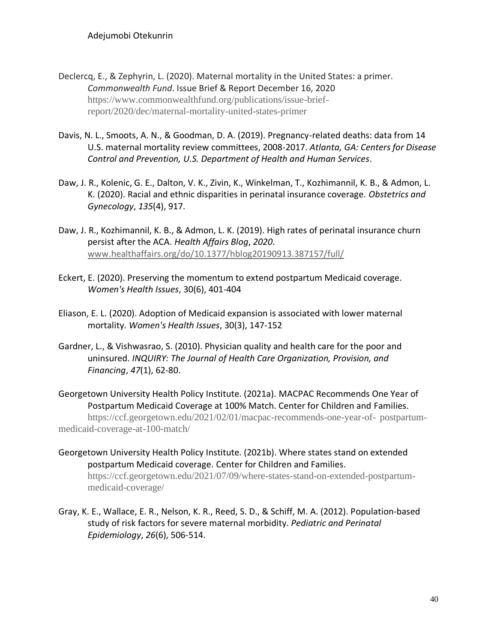- Declercq, E., & Zephyrin, L. (2020). Maternal mortality in the United States: a primer. *Commonwealth Fund*. Issue Brief & Report December 16, 2020 [https://www.commonwealthfund.org/publications/issue-brief](https://www.commonwealthfund.org/publications/issue-brief-%09report/2020/dec/maternal-mortality-united-states-primer)[report/2020/dec/maternal-mortality-united-states-primer](https://www.commonwealthfund.org/publications/issue-brief-%09report/2020/dec/maternal-mortality-united-states-primer)
- Davis, N. L., Smoots, A. N., & Goodman, D. A. (2019). Pregnancy-related deaths: data from 14 U.S. maternal mortality review committees, 2008-2017. *Atlanta, GA: Centers for Disease Control and Prevention, U.S. Department of Health and Human Services*.
- Daw, J. R., Kolenic, G. E., Dalton, V. K., Zivin, K., Winkelman, T., Kozhimannil, K. B., & Admon, L. K. (2020). Racial and ethnic disparities in perinatal insurance coverage. *Obstetrics and Gynecology*, *135*(4), 917.
- Daw, J. R., Kozhimannil, K. B., & Admon, L. K. (2019). High rates of perinatal insurance churn persist after the ACA. *Health Affairs Blog*, *2020*. [www.healthaffairs.org/do/10.1377/hblog20190913.387157/full/](http://www.healthaffairs.org/do/10.1377/hblog20190913.387157/full/)
- Eckert, E. (2020). Preserving the momentum to extend postpartum Medicaid coverage. *Women's Health Issues*, 30(6), 401-404
- Eliason, E. L. (2020). Adoption of Medicaid expansion is associated with lower maternal mortality. *Women's Health Issues*, 30(3), 147-152
- Gardner, L., & Vishwasrao, S. (2010). Physician quality and health care for the poor and uninsured. *INQUIRY: The Journal of Health Care Organization, Provision, and Financing*, *47*(1), 62-80.

Georgetown University Health Policy Institute. (2021a). MACPAC Recommends One Year of Postpartum Medicaid Coverage at 100% Match. Center for Children and Families. [https://ccf.georgetown.edu/2021/02/01/macpac-recommends-one-year-of-](https://ccf.georgetown.edu/2021/02/01/macpac-recommends-one-year-of-%09postpartum-medicaid-coverage-at-100-match/) postpartum[medicaid-coverage-at-100-match/](https://ccf.georgetown.edu/2021/02/01/macpac-recommends-one-year-of-%09postpartum-medicaid-coverage-at-100-match/)

- Georgetown University Health Policy Institute. (2021b). Where states stand on extended postpartum Medicaid coverage. Center for Children and Families. [https://ccf.georgetown.edu/2021/07/09/where-states-stand-on-extended-postpartum](https://ccf.georgetown.edu/2021/07/09/where-states-stand-on-extended-postpartum-%09medicaid-coverage/)[medicaid-coverage/](https://ccf.georgetown.edu/2021/07/09/where-states-stand-on-extended-postpartum-%09medicaid-coverage/)
- Gray, K. E., Wallace, E. R., Nelson, K. R., Reed, S. D., & Schiff, M. A. (2012). Population‐based study of risk factors for severe maternal morbidity. *Pediatric and Perinatal Epidemiology*, *26*(6), 506-514.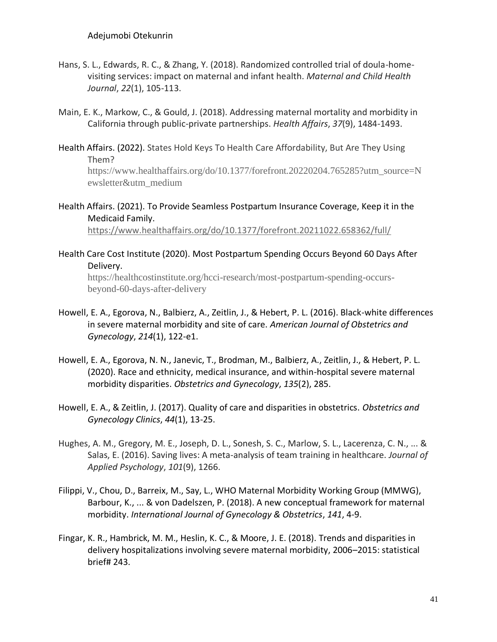[ewsletter&utm\\_medium](https://www.healthaffairs.org/do/10.1377/forefront.20220204.765285?utm_source=N%09ewsletter&utm_medium)

- Hans, S. L., Edwards, R. C., & Zhang, Y. (2018). Randomized controlled trial of doula-homevisiting services: impact on maternal and infant health. *Maternal and Child Health Journal*, *22*(1), 105-113.
- Main, E. K., Markow, C., & Gould, J. (2018). Addressing maternal mortality and morbidity in California through public-private partnerships. *Health Affairs*, *37*(9), 1484-1493.
- Health Affairs. (2022). States Hold Keys To Health Care Affordability, But Are They Using Them? [https://www.healthaffairs.org/do/10.1377/forefront.20220204.765285?utm\\_source=N](https://www.healthaffairs.org/do/10.1377/forefront.20220204.765285?utm_source=N%09ewsletter&utm_medium)
- Health Affairs. (2021). To Provide Seamless Postpartum Insurance Coverage, Keep it in the Medicaid Family.

<https://www.healthaffairs.org/do/10.1377/forefront.20211022.658362/full/>

Health Care Cost Institute (2020). Most Postpartum Spending Occurs Beyond 60 Days After Delivery.

[https://healthcostinstitute.org/hcci-research/most-postpartum-spending-occurs](https://healthcostinstitute.org/hcci-research/most-postpartum-spending-occurs-%09beyond-60-days-after-delivery)[beyond-60-days-after-delivery](https://healthcostinstitute.org/hcci-research/most-postpartum-spending-occurs-%09beyond-60-days-after-delivery)

- Howell, E. A., Egorova, N., Balbierz, A., Zeitlin, J., & Hebert, P. L. (2016). Black-white differences in severe maternal morbidity and site of care. *American Journal of Obstetrics and Gynecology*, *214*(1), 122-e1.
- Howell, E. A., Egorova, N. N., Janevic, T., Brodman, M., Balbierz, A., Zeitlin, J., & Hebert, P. L. (2020). Race and ethnicity, medical insurance, and within-hospital severe maternal morbidity disparities. *Obstetrics and Gynecology*, *135*(2), 285.
- Howell, E. A., & Zeitlin, J. (2017). Quality of care and disparities in obstetrics. *Obstetrics and Gynecology Clinics*, *44*(1), 13-25.
- Hughes, A. M., Gregory, M. E., Joseph, D. L., Sonesh, S. C., Marlow, S. L., Lacerenza, C. N., ... & Salas, E. (2016). Saving lives: A meta-analysis of team training in healthcare. *Journal of Applied Psychology*, *101*(9), 1266.
- Filippi, V., Chou, D., Barreix, M., Say, L., WHO Maternal Morbidity Working Group (MMWG), Barbour, K., ... & von Dadelszen, P. (2018). A new conceptual framework for maternal morbidity. *International Journal of Gynecology & Obstetrics*, *141*, 4-9.
- Fingar, K. R., Hambrick, M. M., Heslin, K. C., & Moore, J. E. (2018). Trends and disparities in delivery hospitalizations involving severe maternal morbidity, 2006–2015: statistical brief# 243.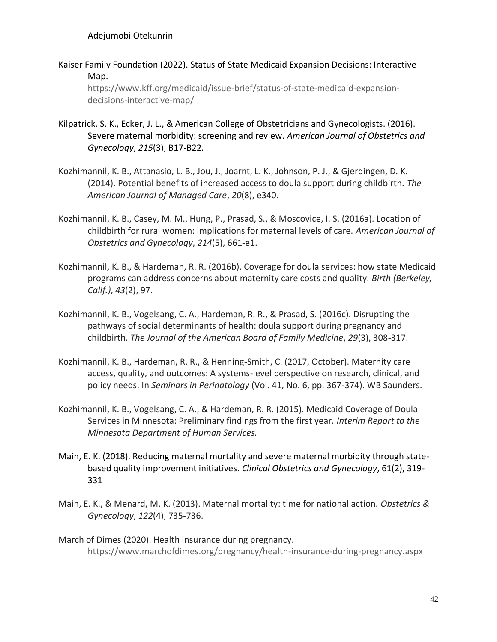Kaiser Family Foundation (2022). Status of State Medicaid Expansion Decisions: [Interactive](https://www.kff.org/medicaid/issue-brief/status-of-state-medicaid-expansion-decisions-interactive-map/) [Map.](https://www.kff.org/medicaid/issue-brief/status-of-state-medicaid-expansion-decisions-interactive-map/)

[https://www.kff.org/medicaid/issue-brief/status-of-state-medicaid-expansion](https://www.kff.org/medicaid/issue-brief/status-of-state-medicaid-expansion-%09decisions-interactive-map/)[decisions-interactive-map/](https://www.kff.org/medicaid/issue-brief/status-of-state-medicaid-expansion-%09decisions-interactive-map/)

- Kilpatrick, S. K., Ecker, J. L., & American College of Obstetricians and Gynecologists. (2016). Severe maternal morbidity: screening and review. *American Journal of Obstetrics and Gynecology*, *215*(3), B17-B22.
- Kozhimannil, K. B., Attanasio, L. B., Jou, J., Joarnt, L. K., Johnson, P. J., & Gjerdingen, D. K. (2014). Potential benefits of increased access to doula support during childbirth. *The American Journal of Managed Care*, *20*(8), e340.
- Kozhimannil, K. B., Casey, M. M., Hung, P., Prasad, S., & Moscovice, I. S. (2016a). Location of childbirth for rural women: implications for maternal levels of care. *American Journal of Obstetrics and Gynecology*, *214*(5), 661-e1.
- Kozhimannil, K. B., & Hardeman, R. R. (2016b). Coverage for doula services: how state Medicaid programs can address concerns about maternity care costs and quality. *Birth (Berkeley, Calif.)*, *43*(2), 97.
- Kozhimannil, K. B., Vogelsang, C. A., Hardeman, R. R., & Prasad, S. (2016c). Disrupting the pathways of social determinants of health: doula support during pregnancy and childbirth. *The Journal of the American Board of Family Medicine*, *29*(3), 308-317.
- Kozhimannil, K. B., Hardeman, R. R., & Henning-Smith, C. (2017, October). Maternity care access, quality, and outcomes: A systems-level perspective on research, clinical, and policy needs. In *Seminars in Perinatology* (Vol. 41, No. 6, pp. 367-374). WB Saunders.
- Kozhimannil, K. B., Vogelsang, C. A., & Hardeman, R. R. (2015). Medicaid Coverage of Doula Services in Minnesota: Preliminary findings from the first year. *Interim Report to the Minnesota Department of Human Services.*
- Main, E. K. (2018). Reducing maternal mortality and severe maternal morbidity through statebased quality improvement initiatives. *Clinical Obstetrics and Gynecology*, 61(2), 319- 331
- Main, E. K., & Menard, M. K. (2013). Maternal mortality: time for national action. *Obstetrics & Gynecology*, *122*(4), 735-736.
- March of Dimes (2020). Health insurance during pregnancy. <https://www.marchofdimes.org/pregnancy/health-insurance-during-pregnancy.aspx>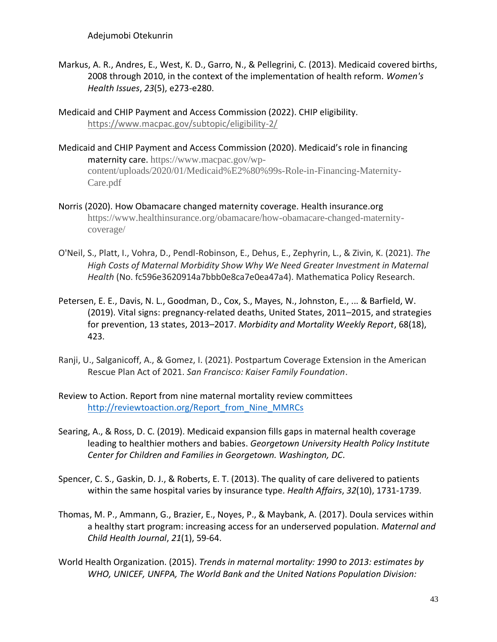- Markus, A. R., Andres, E., West, K. D., Garro, N., & Pellegrini, C. (2013). Medicaid covered births, 2008 through 2010, in the context of the implementation of health reform. *Women's Health Issues*, *23*(5), e273-e280.
- Medicaid and CHIP Payment and Access Commission (2022). CHIP eligibility. <https://www.macpac.gov/subtopic/eligibility-2/>
- Medicaid and CHIP Payment and Access Commission (2020). Medicaid's role in financing maternity care. [https://www.macpac.gov/wp](https://www.macpac.gov/wp-%09content/uploads/2020/01/Medicaid%E2%80%99s-Role-in-Financing-Maternity-%09Care.pdf)[content/uploads/2020/01/Medicaid%E2%80%99s-Role-in-Financing-Maternity-](https://www.macpac.gov/wp-%09content/uploads/2020/01/Medicaid%E2%80%99s-Role-in-Financing-Maternity-%09Care.pdf)[Care.pdf](https://www.macpac.gov/wp-%09content/uploads/2020/01/Medicaid%E2%80%99s-Role-in-Financing-Maternity-%09Care.pdf)
- [Norris](https://www.healthinsurance.org/authors/louise-norris/) (2020). How Obamacare changed maternity coverage. Health insurance.org [https://www.healthinsurance.org/obamacare/how-obamacare-changed-maternity](https://www.healthinsurance.org/obamacare/how-obamacare-changed-maternity-%09coverage/)[coverage/](https://www.healthinsurance.org/obamacare/how-obamacare-changed-maternity-%09coverage/)
- O'Neil, S., Platt, I., Vohra, D., Pendl-Robinson, E., Dehus, E., Zephyrin, L., & Zivin, K. (2021). *The High Costs of Maternal Morbidity Show Why We Need Greater Investment in Maternal Health* (No. fc596e3620914a7bbb0e8ca7e0ea47a4). Mathematica Policy Research.
- Petersen, E. E., Davis, N. L., Goodman, D., Cox, S., Mayes, N., Johnston, E., ... & Barfield, W. (2019). Vital signs: pregnancy-related deaths, United States, 2011–2015, and strategies for prevention, 13 states, 2013–2017. *Morbidity and Mortality Weekly Report*, 68(18), 423.
- Ranji, U., Salganicoff, A., & Gomez, I. (2021). Postpartum Coverage Extension in the American Rescue Plan Act of 2021. *San Francisco: Kaiser Family Foundation*.
- Review to Action. Report from nine maternal mortality review committees http://reviewtoaction.org/Report from Nine MMRCs
- Searing, A., & Ross, D. C. (2019). Medicaid expansion fills gaps in maternal health coverage leading to healthier mothers and babies. *Georgetown University Health Policy Institute Center for Children and Families in Georgetown. Washington, DC.*
- Spencer, C. S., Gaskin, D. J., & Roberts, E. T. (2013). The quality of care delivered to patients within the same hospital varies by insurance type. *Health Affairs*, *32*(10), 1731-1739.
- Thomas, M. P., Ammann, G., Brazier, E., Noyes, P., & Maybank, A. (2017). Doula services within a healthy start program: increasing access for an underserved population. *Maternal and Child Health Journal*, *21*(1), 59-64.
- World Health Organization. (2015). *Trends in maternal mortality: 1990 to 2013: estimates by WHO, UNICEF, UNFPA, The World Bank and the United Nations Population Division:*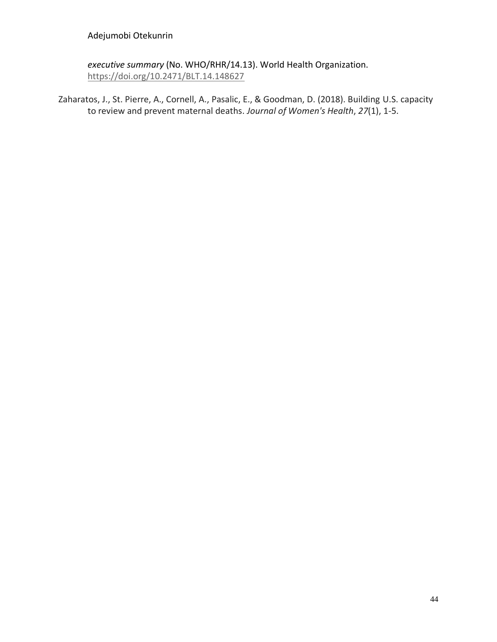*executive summary* (No. WHO/RHR/14.13). World Health Organization. <https://doi.org/10.2471/BLT.14.148627>

Zaharatos, J., St. Pierre, A., Cornell, A., Pasalic, E., & Goodman, D. (2018). Building U.S. capacity to review and prevent maternal deaths. *Journal of Women's Health*, *27*(1), 1-5.